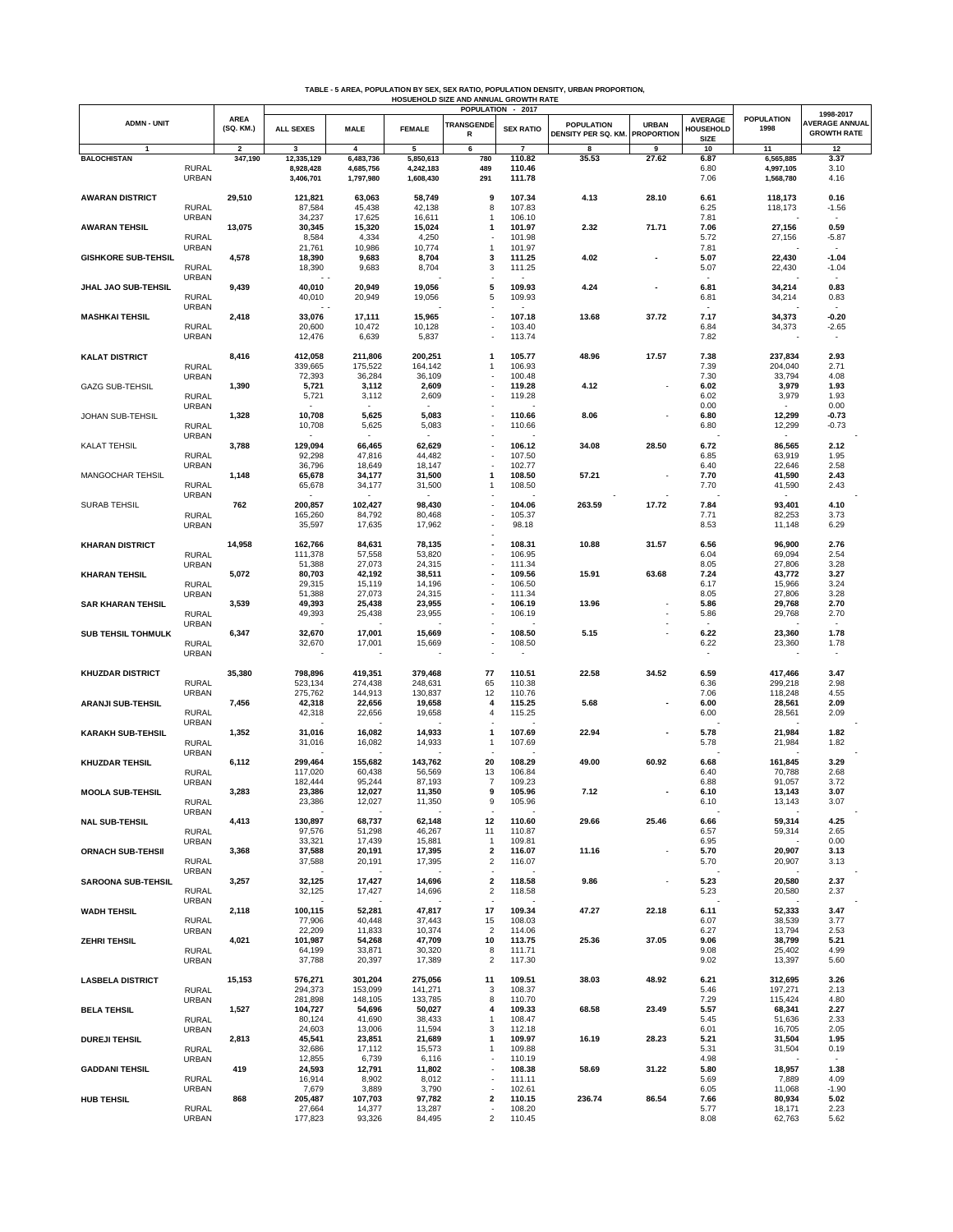| TABLE - 5 AREA, POPULATION BY SEX, SEX RATIO, POPULATION DENSITY, URBAN PROPORTION, |
|-------------------------------------------------------------------------------------|
| HOSUEHOLD SIZE AND ANNUAL GROWTH RATE                                               |

|                            |                              |                          |                    |                    |                    |                          | POPULATION - 2017 |                     |                   |                          |                    | 1998-2017                |
|----------------------------|------------------------------|--------------------------|--------------------|--------------------|--------------------|--------------------------|-------------------|---------------------|-------------------|--------------------------|--------------------|--------------------------|
| <b>ADMN - UNIT</b>         |                              | <b>AREA</b><br>(SQ. KM.) |                    |                    |                    | <b>TRANSGENDE</b>        |                   | <b>POPULATION</b>   | <b>URBAN</b>      | <b>AVERAGE</b>           | <b>POPULATION</b>  | AVERAGE ANNUAL           |
|                            |                              |                          | <b>ALL SEXES</b>   | <b>MALE</b>        | <b>FEMALE</b>      | R                        | <b>SEX RATIO</b>  | DENSITY PER SQ. KM. | <b>PROPORTION</b> | HOUSEHOLD<br><b>SIZE</b> | 1998               | <b>GROWTH RATE</b>       |
| $\mathbf{1}$               |                              | $\overline{\mathbf{2}}$  | 3                  | 4                  | 5                  | 6                        | $\overline{7}$    | 8                   | 9                 | 10                       | 11                 | 12                       |
| <b>BALOCHISTAN</b>         |                              | 347,190                  | 12,335,129         | 6,483,736          | 5,850,613          | 780                      | 110.82            | 35.53               | 27.62             | 6.87                     | 6,565,885          | 3.37                     |
|                            | <b>RURAL</b>                 |                          | 8,928,428          | 4,685,756          | 4,242,183          | 489                      | 110.46            |                     |                   | 6.80                     | 4,997,105          | 3.10                     |
|                            | <b>URBAN</b>                 |                          | 3,406,701          | 1,797,980          | 1,608,430          | 291                      | 111.78            |                     |                   | 7.06                     | 1,568,780          | 4.16                     |
| <b>AWARAN DISTRICT</b>     |                              | 29,510                   | 121,821            | 63,063             | 58,749             | 9                        | 107.34            | 4.13                | 28.10             | 6.61                     | 118,173            | 0.16                     |
|                            | <b>RURAL</b>                 |                          | 87,584             | 45,438             | 42,138             | 8                        | 107.83            |                     |                   | 6.25                     | 118,173            | $-1.56$                  |
|                            | <b>URBAN</b>                 |                          | 34,237             | 17,625             | 16,611             | 1                        | 106.10            |                     |                   | 7.81                     |                    |                          |
| <b>AWARAN TEHSIL</b>       |                              | 13,075                   | 30,345             | 15,320             | 15,024             | 1                        | 101.97            | 2.32                | 71.71             | 7.06                     | 27,156             | 0.59                     |
|                            | <b>RURAL</b><br>URBAN        |                          | 8,584<br>21,761    | 4,334<br>10,986    | 4,250<br>10,774    | 1                        | 101.98<br>101.97  |                     |                   | 5.72<br>7.81             | 27,156             | -5.87                    |
| <b>GISHKORE SUB-TEHSIL</b> |                              | 4,578                    | 18,390             | 9,683              | 8,704              | 3                        | 111.25            | 4.02                |                   | 5.07                     | 22,430             | $-1.04$                  |
|                            | <b>RURAL</b>                 |                          | 18,390             | 9,683              | 8,704              | 3                        | 111.25            |                     |                   | 5.07                     | 22,430             | $-1.04$                  |
|                            | <b>URBAN</b>                 |                          | $\sim$ $\sim$      |                    |                    |                          |                   |                     |                   |                          |                    |                          |
| <b>JHAL JAO SUB-TEHSIL</b> |                              | 9,439                    | 40,010             | 20,949             | 19,056             | 5                        | 109.93            | 4.24                |                   | 6.81                     | 34,214             | 0.83                     |
|                            | <b>RURAL</b><br><b>URBAN</b> |                          | 40,010             | 20,949             | 19,056             | 5                        | 109.93            |                     |                   | 6.81                     | 34,214             | 0.83                     |
| <b>MASHKAI TEHSIL</b>      |                              | 2,418                    | 33,076             | 17,111             | 15,965             |                          | 107.18            | 13.68               | 37.72             | 7.17                     | 34,373             | -0.20                    |
|                            | <b>RURAL</b>                 |                          | 20,600             | 10,472             | 10,128             | $\overline{\phantom{a}}$ | 103.40            |                     |                   | 6.84                     | 34,373             | $-2.65$                  |
|                            | <b>URBAN</b>                 |                          | 12,476             | 6,639              | 5,837              |                          | 113.74            |                     |                   | 7.82                     |                    | $\overline{\phantom{a}}$ |
|                            |                              |                          |                    |                    |                    |                          |                   |                     |                   |                          |                    |                          |
| <b>KALAT DISTRICT</b>      | <b>RURAL</b>                 | 8,416                    | 412,058<br>339,665 | 211,806<br>175,522 | 200,251<br>164,142 | 1<br>1                   | 105.77<br>106.93  | 48.96               | 17.57             | 7.38<br>7.39             | 237,834<br>204,040 | 2.93<br>2.71             |
|                            | <b>URBAN</b>                 |                          | 72,393             | 36,284             | 36,109             |                          | 100.48            |                     |                   | 7.30                     | 33,794             | 4.08                     |
| <b>GAZG SUB-TEHSIL</b>     |                              | 1,390                    | 5,721              | 3,112              | 2,609              |                          | 119.28            | 4.12                |                   | 6.02                     | 3,979              | 1.93                     |
|                            | <b>RURAL</b>                 |                          | 5,721              | 3,112              | 2,609              |                          | 119.28            |                     |                   | 6.02                     | 3,979              | 1.93                     |
|                            | <b>URBAN</b>                 |                          |                    |                    |                    |                          |                   |                     |                   | 0.00                     |                    | 0.00                     |
| JOHAN SUB-TEHSIL           |                              | 1,328                    | 10,708             | 5,625              | 5,083              |                          | 110.66            | 8.06                |                   | 6.80                     | 12,299             | $-0.73$                  |
|                            | <b>RURAL</b><br><b>URBAN</b> |                          | 10,708             | 5,625              | 5,083              |                          | 110.66            |                     |                   | 6.80                     | 12,299             | $-0.73$                  |
| <b>KALAT TEHSIL</b>        |                              | 3,788                    | 129,094            | 66,465             | 62,629             |                          | 106.12            | 34.08               | 28.50             | 6.72                     | 86,565             | 2.12                     |
|                            | <b>RURAL</b>                 |                          | 92,298             | 47,816             | 44,482             |                          | 107.50            |                     |                   | 6.85                     | 63,919             | 1.95                     |
|                            | <b>URBAN</b>                 |                          | 36,796             | 18,649             | 18,147             |                          | 102.77            |                     |                   | 6.40                     | 22,646             | 2.58                     |
| MANGOCHAR TEHSIL           |                              | 1,148                    | 65,678             | 34,177             | 31,500             | 1                        | 108.50            | 57.21               |                   | 7.70                     | 41,590             | 2.43                     |
|                            | <b>RURAL</b>                 |                          | 65,678             | 34,177             | 31,500             | 1                        | 108.50            |                     |                   | 7.70                     | 41,590             | 2.43                     |
| <b>SURAB TEHSIL</b>        | <b>URBAN</b>                 | 762                      | 200,857            | 102,427            | 98,430             |                          | 104.06            | 263.59              | 17.72             | 7.84                     | 93,401             | 4.10                     |
|                            | <b>RURAL</b>                 |                          | 165,260            | 84,792             | 80,468             |                          | 105.37            |                     |                   | 7.71                     | 82,253             | 3.73                     |
|                            | <b>URBAN</b>                 |                          | 35,597             | 17,635             | 17,962             |                          | 98.18             |                     |                   | 8.53                     | 11,148             | 6.29                     |
|                            |                              |                          |                    |                    |                    |                          |                   |                     |                   |                          |                    |                          |
| <b>KHARAN DISTRICT</b>     |                              | 14,958                   | 162,766            | 84,631             | 78,135             |                          | 108.31            | 10.88               | 31.57             | 6.56                     | 96,900             | 2.76                     |
|                            | <b>RURAL</b><br><b>URBAN</b> |                          | 111,378<br>51,388  | 57,558<br>27,073   | 53,820<br>24,315   |                          | 106.95<br>111.34  |                     |                   | 6.04<br>8.05             | 69,094<br>27,806   | 2.54<br>3.28             |
| <b>KHARAN TEHSIL</b>       |                              | 5,072                    | 80,703             | 42,192             | 38,511             |                          | 109.56            | 15.91               | 63.68             | 7.24                     | 43,772             | 3.27                     |
|                            | <b>RURAL</b>                 |                          | 29,315             | 15,119             | 14,196             |                          | 106.50            |                     |                   | 6.17                     | 15,966             | 3.24                     |
|                            | <b>URBAN</b>                 |                          | 51,388             | 27,073             | 24,315             |                          | 111.34            |                     |                   | 8.05                     | 27,806             | 3.28                     |
| <b>SAR KHARAN TEHSIL</b>   |                              | 3,539                    | 49,393             | 25,438             | 23,955             |                          | 106.19            | 13.96               |                   | 5.86                     | 29,768             | 2.70                     |
|                            | <b>RURAL</b>                 |                          | 49,393             | 25,438             | 23,955             |                          | 106.19            |                     |                   | 5.86                     | 29,768             | 2.70                     |
| <b>SUB TEHSIL TOHMULK</b>  | <b>URBAN</b>                 | 6,347                    | 32,670             | 17,001             | 15,669             |                          | 108.50            | 5.15                |                   | 6.22                     | 23,360             | 1.78                     |
|                            | <b>RURAL</b>                 |                          | 32,670             | 17,001             | 15,669             |                          | 108.50            |                     |                   | 6.22                     | 23,360             | 1.78                     |
|                            | <b>URBAN</b>                 |                          |                    |                    |                    |                          |                   |                     |                   | $\overline{\phantom{a}}$ |                    |                          |
|                            |                              |                          |                    |                    |                    |                          |                   |                     |                   |                          |                    |                          |
| <b>KHUZDAR DISTRICT</b>    |                              | 35,380                   | 798,896            | 419,351            | 379,468            | 77                       | 110.51            | 22.58               | 34.52             | 6.59                     | 417,466            | 3.47                     |
|                            | <b>RURAL</b><br><b>URBAN</b> |                          | 523,134<br>275,762 | 274,438<br>144,913 | 248,631<br>130,837 | 65<br>12                 | 110.38<br>110.76  |                     |                   | 6.36<br>7.06             | 299,218<br>118,248 | 2.98<br>4.55             |
| <b>ARANJI SUB-TEHSIL</b>   |                              | 7,456                    | 42,318             | 22,656             | 19,658             | 4                        | 115.25            | 5.68                |                   | 6.00                     | 28,561             | 2.09                     |
|                            | <b>RURAL</b>                 |                          | 42,318             | 22,656             | 19,658             | 4                        | 115.25            |                     |                   | 6.00                     | 28,561             | 2.09                     |
|                            | <b>URBAN</b>                 |                          |                    |                    |                    |                          |                   |                     |                   |                          |                    |                          |
| <b>KARAKH SUB-TEHSIL</b>   |                              | 1,352                    | 31,016             | 16,082             | 14,933             | 1                        | 107.69            | 22.94               |                   | 5.78                     | 21,984             | 1.82                     |
|                            | <b>RURAL</b>                 |                          | 31,016             | 16,082             | 14,933             | 1                        | 107.69            |                     |                   | 5.78                     | 21,984             | 1.82                     |
| <b>KHUZDAR TEHSIL</b>      | <b>URBAN</b>                 | 6,112                    | 299,464            | 155,682            | 143,762            | 20                       | 108.29            | 49.00               | 60.92             | 6.68                     | 161,845            | 3.29                     |
|                            | <b>RURAL</b>                 |                          | 117,020            | 60,438             | 56,569             | 13                       | 106.84            |                     |                   | 6.40                     | 70,788             | 2.68                     |
|                            | <b>URBAN</b>                 |                          | 182,444            | 95,244             | 87,193             | $\overline{7}$           | 109.23            |                     |                   | 6.88                     | 91,057             | 3.72                     |
| <b>MOOLA SUB-TEHSIL</b>    |                              | 3,283                    | 23,386             | 12,027             | 11,350             | 9                        | 105.96            | 7.12                |                   | 6.10                     | 13,143             | 3.07                     |
|                            | <b>RURAL</b><br><b>URBAN</b> |                          | 23,386             | 12,027             | 11,350             | 9                        | 105.96            |                     |                   | 6.10                     | 13,143             | 3.07                     |
| <b>NAL SUB-TEHSIL</b>      |                              | 4,413                    | 130,897            | 68,737             | 62,148             | 12                       | 110.60            | 29.66               | 25.46             | 6.66                     | 59,314             | 4.25                     |
|                            | <b>RURAL</b>                 |                          | 97,576             | 51,298             | 46,267             | 11                       | 110.87            |                     |                   | 6.57                     | 59,314             | 2.65                     |
|                            | <b>URBAN</b>                 |                          | 33,321             | 17,439             | 15,881             | 1                        | 109.81            |                     |                   | 6.95                     |                    | 0.00                     |
| <b>ORNACH SUB-TEHSII</b>   |                              | 3,368                    | 37,588             | 20,191             | 17,395             | 2                        | 116.07            | 11.16               |                   | 5.70                     | 20,907             | 3.13                     |
|                            | <b>RURAL</b><br><b>URBAN</b> |                          | 37,588             | 20,191             | 17,395             | $\overline{\mathbf{c}}$  | 116.07            |                     |                   | 5.70                     | 20,907             | 3.13                     |
| <b>SAROONA SUB-TEHSIL</b>  |                              | 3,257                    | 32,125             | 17,427             | 14,696             | 2                        | 118.58            | 9.86                |                   | 5.23                     | 20,580             | 2.37                     |
|                            | <b>RURAL</b>                 |                          | 32,125             | 17,427             | 14,696             | 2                        | 118.58            |                     |                   | 5.23                     | 20,580             | 2.37                     |
|                            | <b>URBAN</b>                 |                          |                    |                    |                    |                          |                   |                     |                   |                          |                    |                          |
| <b>WADH TEHSIL</b>         |                              | 2,118                    | 100,115            | 52,281             | 47,817             | 17                       | 109.34            | 47.27               | 22.18             | 6.11                     | 52,333             | 3.47                     |
|                            | <b>RURAL</b>                 |                          | 77,906<br>22,209   | 40,448             | 37,443             | 15<br>$\overline{c}$     | 108.03            |                     |                   | 6.07                     | 38,539             | 3.77                     |
| <b>ZEHRITEHSIL</b>         | <b>URBAN</b>                 | 4,021                    | 101,987            | 11,833<br>54,268   | 10,374<br>47,709   | 10                       | 114.06<br>113.75  | 25.36               | 37.05             | 6.27<br>9.06             | 13,794<br>38,799   | 2.53<br>5.21             |
|                            | <b>RURAL</b>                 |                          | 64,199             | 33,871             | 30,320             | 8                        | 111.71            |                     |                   | 9.08                     | 25,402             | 4.99                     |
|                            | <b>URBAN</b>                 |                          | 37,788             | 20,397             | 17,389             | 2                        | 117.30            |                     |                   | 9.02                     | 13,397             | 5.60                     |
|                            |                              |                          |                    |                    |                    |                          |                   |                     |                   |                          |                    |                          |
| <b>LASBELA DISTRICT</b>    |                              | 15,153                   | 576,271            | 301,204            | 275,056            | 11                       | 109.51            | 38.03               | 48.92             | 6.21                     | 312,695            | 3.26                     |
|                            | <b>RURAL</b>                 |                          | 294,373<br>281,898 | 153,099<br>148,105 | 141,271<br>133,785 | 3<br>8                   | 108.37<br>110.70  |                     |                   | 5.46<br>7.29             | 197,271<br>115,424 | 2.13<br>4.80             |
| <b>BELA TEHSIL</b>         | <b>URBAN</b>                 | 1,527                    | 104,727            | 54,696             | 50,027             | 4                        | 109.33            | 68.58               | 23.49             | 5.57                     | 68,341             | 2.27                     |
|                            | <b>RURAL</b>                 |                          | 80,124             | 41,690             | 38,433             | 1                        | 108.47            |                     |                   | 5.45                     | 51,636             | 2.33                     |
|                            | <b>URBAN</b>                 |                          | 24,603             | 13,006             | 11,594             | 3                        | 112.18            |                     |                   | 6.01                     | 16,705             | 2.05                     |
| <b>DUREJI TEHSIL</b>       |                              | 2,813                    | 45,541             | 23,851             | 21,689             | 1                        | 109.97            | 16.19               | 28.23             | 5.21                     | 31,504             | 1.95                     |
|                            | <b>RURAL</b><br><b>URBAN</b> |                          | 32,686<br>12,855   | 17,112<br>6,739    | 15,573<br>6,116    | 1                        | 109.88<br>110.19  |                     |                   | 5.31<br>4.98             | 31,504             | 0.19<br>$\sim$           |
| <b>GADDANI TEHSIL</b>      |                              | 419                      | 24,593             | 12,791             | 11,802             | $\overline{\phantom{a}}$ | 108.38            | 58.69               | 31.22             | 5.80                     | 18,957             | 1.38                     |
|                            | <b>RURAL</b>                 |                          | 16,914             | 8,902              | 8,012              | $\overline{\phantom{a}}$ | 111.11            |                     |                   | 5.69                     | 7,889              | 4.09                     |
|                            | <b>URBAN</b>                 |                          | 7,679              | 3,889              | 3,790              | $\overline{\phantom{a}}$ | 102.61            |                     |                   | 6.05                     | 11,068             | $-1.90$                  |
| <b>HUB TEHSIL</b>          |                              | 868                      | 205,487            | 107,703            | 97,782             | 2                        | 110.15            | 236.74              | 86.54             | 7.66                     | 80,934             | 5.02                     |
|                            | <b>RURAL</b>                 |                          | 27,664             | 14,377             | 13,287             |                          | 108.20            |                     |                   | 5.77                     | 18,171             | 2.23                     |
|                            | <b>URBAN</b>                 |                          | 177,823            | 93,326             | 84,495             | $\overline{\mathbf{c}}$  | 110.45            |                     |                   | 8.08                     | 62,763             | 5.62                     |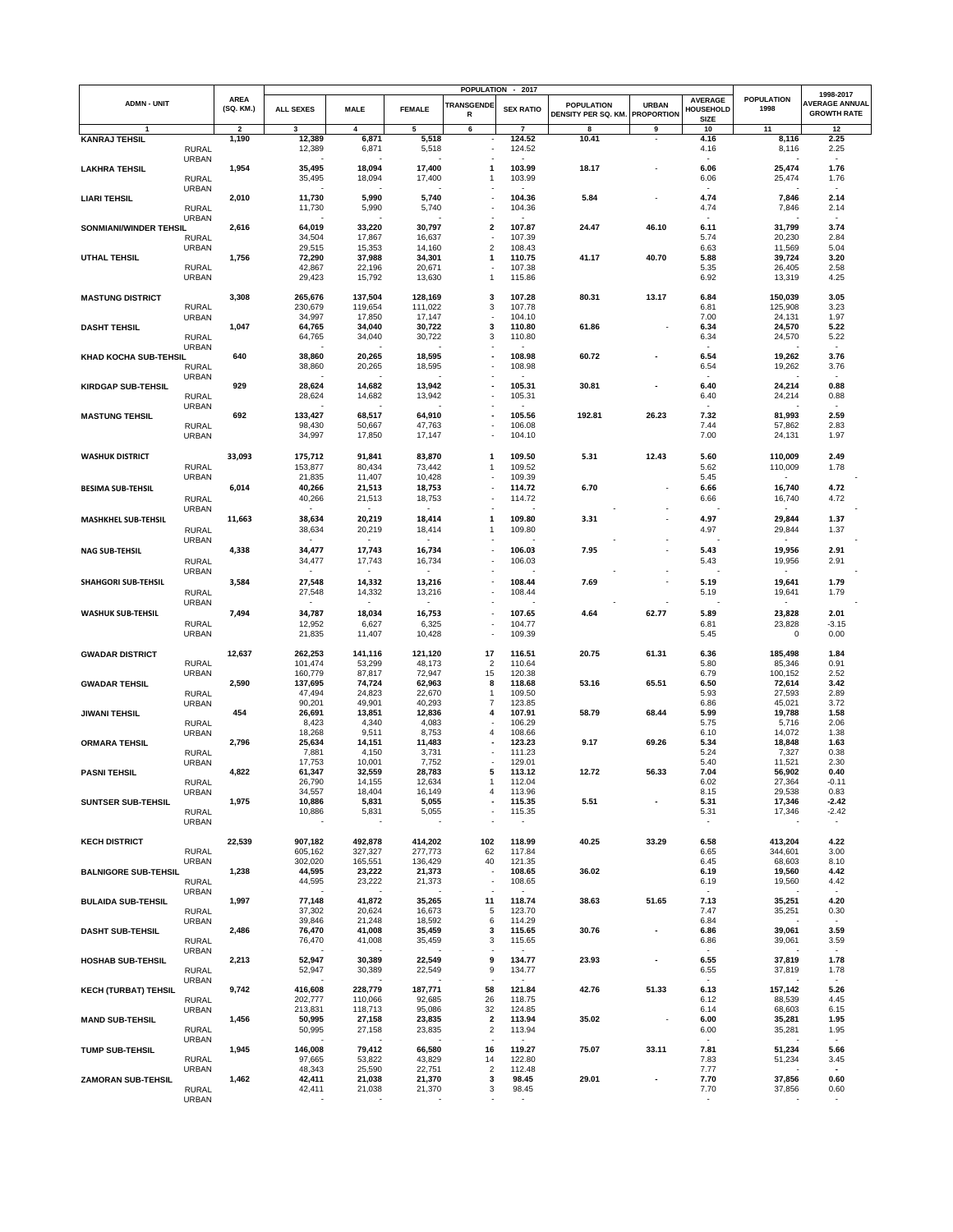|                             |                              |                                  |                    |                          |                          |                               | POPULATION - 2017                  |                                          |                                   |                                            |                           | 1998-2017                                   |
|-----------------------------|------------------------------|----------------------------------|--------------------|--------------------------|--------------------------|-------------------------------|------------------------------------|------------------------------------------|-----------------------------------|--------------------------------------------|---------------------------|---------------------------------------------|
| <b>ADMN - UNIT</b>          |                              | <b>AREA</b><br>(SQ. KM.)         | <b>ALL SEXES</b>   | <b>MALE</b>              | <b>FEMALE</b>            | <b>TRANSGENDE</b><br>R        | <b>SEX RATIO</b>                   | <b>POPULATION</b><br>DENSITY PER SQ. KM. | <b>URBAN</b><br><b>PROPORTION</b> | <b>AVERAGE</b><br>HOUSEHOLD<br><b>SIZE</b> | <b>POPULATION</b><br>1998 | <b>AVERAGE ANNUAL</b><br><b>GROWTH RATE</b> |
| <b>KANRAJ TEHSIL</b>        |                              | $\overline{\mathbf{2}}$<br>1,190 | 3                  | 4                        | 5                        | 6                             | $\overline{\phantom{a}}$<br>124.52 | 8<br>10.41                               | 9                                 | 10<br>4.16                                 | 11                        | 12<br>2.25                                  |
|                             | <b>RURAL</b>                 |                                  | 12,389<br>12,389   | 6,871<br>6,871           | 5,518<br>5,518           | $\qquad \qquad \blacksquare$  | 124.52                             |                                          |                                   | 4.16                                       | 8,116<br>8,116            | 2.25                                        |
|                             | <b>URBAN</b>                 |                                  |                    |                          |                          |                               |                                    |                                          |                                   |                                            |                           | $\sim$                                      |
| <b>LAKHRA TEHSIL</b>        | <b>RURAL</b>                 | 1,954                            | 35,495<br>35,495   | 18,094<br>18,094         | 17,400<br>17,400         | 1<br>1                        | 103.99<br>103.99                   | 18.17                                    |                                   | 6.06<br>6.06                               | 25,474<br>25,474          | 1.76<br>1.76                                |
|                             | <b>URBAN</b>                 |                                  |                    |                          |                          |                               |                                    |                                          |                                   |                                            |                           | $\overline{\phantom{a}}$                    |
| <b>LIARI TEHSIL</b>         | <b>RURAL</b>                 | 2,010                            | 11,730<br>11,730   | 5,990<br>5,990           | 5,740<br>5,740           |                               | 104.36<br>104.36                   | 5.84                                     |                                   | 4.74<br>4.74                               | 7,846<br>7,846            | 2.14<br>2.14                                |
|                             | <b>URBAN</b>                 |                                  |                    |                          |                          |                               |                                    |                                          |                                   |                                            |                           |                                             |
| SONMIANI/WINDER TEHSIL      |                              | 2,616                            | 64,019             | 33,220                   | 30,797                   | 2                             | 107.87                             | 24.47                                    | 46.10                             | 6.11                                       | 31,799                    | 3.74                                        |
|                             | <b>RURAL</b><br><b>URBAN</b> |                                  | 34,504<br>29,515   | 17,867<br>15,353         | 16,637<br>14,160         | $\overline{\mathbf{c}}$       | 107.39<br>108.43                   |                                          |                                   | 5.74<br>6.63                               | 20,230<br>11,569          | 2.84<br>5.04                                |
| <b>UTHAL TEHSIL</b>         |                              | 1,756                            | 72,290             | 37,988                   | 34,301                   | 1                             | 110.75                             | 41.17                                    | 40.70                             | 5.88                                       | 39,724                    | 3.20                                        |
|                             | <b>RURAL</b>                 |                                  | 42,867             | 22,196                   | 20,671                   |                               | 107.38                             |                                          |                                   | 5.35                                       | 26,405                    | 2.58                                        |
|                             | <b>URBAN</b>                 |                                  | 29,423             | 15,792                   | 13,630                   | 1                             | 115.86                             |                                          |                                   | 6.92                                       | 13,319                    | 4.25                                        |
| <b>MASTUNG DISTRICT</b>     |                              | 3,308                            | 265,676            | 137,504                  | 128,169                  | 3                             | 107.28                             | 80.31                                    | 13.17                             | 6.84                                       | 150,039                   | 3.05                                        |
|                             | <b>RURAL</b>                 |                                  | 230,679            | 119,654                  | 111,022                  | 3                             | 107.78                             |                                          |                                   | 6.81                                       | 125,908                   | 3.23                                        |
| <b>DASHT TEHSIL</b>         | <b>URBAN</b>                 | 1,047                            | 34,997<br>64,765   | 17,850<br>34,040         | 17,147<br>30,722         | 3                             | 104.10<br>110.80                   | 61.86                                    |                                   | 7.00<br>6.34                               | 24,131<br>24,570          | 1.97<br>5.22                                |
|                             | <b>RURAL</b>                 |                                  | 64,765             | 34,040                   | 30,722                   | 3                             | 110.80                             |                                          |                                   | 6.34                                       | 24,570                    | 5.22                                        |
|                             | <b>URBAN</b>                 |                                  |                    |                          |                          |                               |                                    |                                          |                                   |                                            |                           |                                             |
| KHAD KOCHA SUB-TEHSIL       | <b>RURAL</b>                 | 640                              | 38,860<br>38,860   | 20,265<br>20,265         | 18,595<br>18,595         | ÷,                            | 108.98<br>108.98                   | 60.72                                    |                                   | 6.54<br>6.54                               | 19,262<br>19,262          | 3.76<br>3.76                                |
|                             | <b>URBAN</b>                 |                                  |                    |                          |                          |                               |                                    |                                          |                                   |                                            |                           |                                             |
| <b>KIRDGAP SUB-TEHSIL</b>   |                              | 929                              | 28,624             | 14,682                   | 13,942                   |                               | 105.31                             | 30.81                                    |                                   | 6.40                                       | 24,214                    | 0.88                                        |
|                             | <b>RURAL</b>                 |                                  | 28,624             | 14,682                   | 13,942                   |                               | 105.31                             |                                          |                                   | 6.40                                       | 24,214                    | 0.88                                        |
| <b>MASTUNG TEHSIL</b>       | <b>URBAN</b>                 | 692                              | 133,427            | 68,517                   | 64,910                   |                               | 105.56                             | 192.81                                   | 26.23                             | 7.32                                       | 81,993                    | 2.59                                        |
|                             | <b>RURAL</b>                 |                                  | 98,430             | 50,667                   | 47,763                   |                               | 106.08                             |                                          |                                   | 7.44                                       | 57,862                    | 2.83                                        |
|                             | <b>URBAN</b>                 |                                  | 34,997             | 17,850                   | 17,147                   | $\overline{\phantom{a}}$      | 104.10                             |                                          |                                   | 7.00                                       | 24,131                    | 1.97                                        |
| <b>WASHUK DISTRICT</b>      |                              | 33,093                           | 175,712            | 91,841                   | 83,870                   | 1                             | 109.50                             | 5.31                                     | 12.43                             | 5.60                                       | 110,009                   | 2.49                                        |
|                             | <b>RURAL</b>                 |                                  | 153,877            | 80,434                   | 73,442                   | $\mathbf{1}$                  | 109.52                             |                                          |                                   | 5.62                                       | 110,009                   | 1.78                                        |
|                             | <b>URBAN</b>                 |                                  | 21,835             | 11,407                   | 10,428                   |                               | 109.39                             |                                          |                                   | 5.45                                       |                           |                                             |
| BESIMA SUB-TEHSIL           |                              | 6,014                            | 40,266             | 21,513                   | 18,753                   |                               | 114.72                             | 6.70                                     |                                   | 6.66                                       | 16,740                    | 4.72                                        |
|                             | <b>RURAL</b><br><b>URBAN</b> |                                  | 40,266             | 21,513                   | 18,753                   |                               | 114.72                             |                                          |                                   | 6.66                                       | 16,740                    | 4.72                                        |
| MASHKHEL SUB-TEHSIL         |                              | 11,663                           | 38,634             | 20,219                   | 18,414                   | 1                             | 109.80                             | 3.31                                     |                                   | 4.97                                       | 29,844                    | 1.37                                        |
|                             | <b>RURAL</b>                 |                                  | 38,634             | 20,219                   | 18,414                   | -1                            | 109.80                             |                                          |                                   | 4.97                                       | 29,844                    | 1.37                                        |
|                             | <b>URBAN</b>                 |                                  |                    |                          |                          |                               |                                    |                                          |                                   |                                            |                           |                                             |
| <b>NAG SUB-TEHSIL</b>       | <b>RURAL</b>                 | 4,338                            | 34,477<br>34,477   | 17,743<br>17,743         | 16,734<br>16,734         |                               | 106.03<br>106.03                   | 7.95                                     |                                   | 5.43<br>5.43                               | 19,956<br>19,956          | 2.91<br>2.91                                |
|                             | <b>URBAN</b>                 |                                  |                    |                          | $\sim$                   |                               |                                    |                                          |                                   |                                            | $\sim$                    |                                             |
| SHAHGORI SUB-TEHSIL         |                              | 3,584                            | 27,548             | 14,332                   | 13,216                   |                               | 108.44                             | 7.69                                     |                                   | 5.19                                       | 19,641                    | 1.79                                        |
|                             | <b>RURAL</b>                 |                                  | 27,548             | 14,332                   | 13,216                   |                               | 108.44                             |                                          |                                   | 5.19                                       | 19,641                    | 1.79                                        |
| <b>WASHUK SUB-TEHSIL</b>    | <b>URBAN</b>                 | 7,494                            | 34,787             | 18,034                   | 16,753                   |                               | 107.65                             | 4.64                                     | 62.77                             | 5.89                                       | 23,828                    | 2.01                                        |
|                             | <b>RURAL</b>                 |                                  | 12,952             | 6,627                    | 6,325                    |                               | 104.77                             |                                          |                                   | 6.81                                       | 23,828                    | $-3.15$                                     |
|                             | <b>URBAN</b>                 |                                  | 21,835             | 11,407                   | 10,428                   |                               | 109.39                             |                                          |                                   | 5.45                                       | 0                         | 0.00                                        |
|                             |                              | 12,637                           | 262,253            | 141,116                  | 121,120                  | 17                            | 116.51                             | 20.75                                    | 61.31                             | 6.36                                       | 185,498                   | 1.84                                        |
| <b>GWADAR DISTRICT</b>      | <b>RURAL</b>                 |                                  | 101,474            | 53,299                   | 48,173                   | $\overline{2}$                | 110.64                             |                                          |                                   | 5.80                                       | 85,346                    | 0.91                                        |
|                             | <b>URBAN</b>                 |                                  | 160,779            | 87,817                   | 72,947                   | 15                            | 120.38                             |                                          |                                   | 6.79                                       | 100,152                   | 2.52                                        |
| <b>GWADAR TEHSIL</b>        | <b>RURAL</b>                 | 2,590                            | 137,695<br>47,494  | 74,724<br>24,823         | 62,963<br>22,670         | 8<br>1                        | 118.68<br>109.50                   | 53.16                                    | 65.51                             | 6.50<br>5.93                               | 72,614<br>27,593          | 3.42<br>2.89                                |
|                             | <b>URBAN</b>                 |                                  | 90,201             | 49,901                   | 40,293                   | $\overline{7}$                | 123.85                             |                                          |                                   | 6.86                                       | 45,021                    | 3.72                                        |
| <b>JIWANI TEHSIL</b>        |                              | 454                              | 26,691             | 13,851                   | 12,836                   | 4                             | 107.91                             | 58.79                                    | 68.44                             | 5.99                                       | 19,788                    | 1.58                                        |
|                             | <b>RURAL</b><br><b>URBAN</b> |                                  | 8,423<br>18,268    | 4,340<br>9,511           | 4,083<br>8,753           | 4                             | 106.29<br>108.66                   |                                          |                                   | 5.75<br>6.10                               | 5,716<br>14,072           | 2.06<br>1.38                                |
| <b>ORMARA TEHSIL</b>        |                              | 2,796                            | 25,634             | 14,151                   | 11,483                   |                               | 123.23                             | 9.17                                     | 69.26                             | 5.34                                       | 18,848                    | 1.63                                        |
|                             | <b>RURAL</b>                 |                                  | 7,881              | 4,150                    | 3,731                    |                               | 111.23                             |                                          |                                   | 5.24                                       | 7,327                     | 0.38                                        |
| <b>PASNI TEHSIL</b>         | <b>URBAN</b>                 | 4,822                            | 17,753<br>61,347   | 10,001<br>32,559         | 7,752<br>28,783          | 5                             | 129.01<br>113.12                   | 12.72                                    | 56.33                             | 5.40<br>7.04                               | 11,521<br>56,902          | 2.30<br>0.40                                |
|                             | RURAL                        |                                  | 26,790             | 14,155                   | 12,634                   |                               | 112.04                             |                                          |                                   | 6.02                                       | 27,364                    | -0.11                                       |
|                             | URBAN                        |                                  | 34,557             | 18,404                   | 16,149                   | 4                             | 113.96                             |                                          |                                   | 8.15                                       | 29,538                    | 0.83                                        |
| SUNTSER SUB-TEHSIL          | <b>RURAL</b>                 | 1,975                            | 10,886<br>10,886   | 5,831<br>5,831           | 5,055<br>5,055           |                               | 115.35<br>115.35                   | 5.51                                     |                                   | 5.31<br>5.31                               | 17,346<br>17,346          | $-2.42$<br>$-2.42$                          |
|                             | <b>URBAN</b>                 |                                  | $\sim$             | $\overline{\phantom{a}}$ | $\overline{\phantom{a}}$ | J.                            | $\overline{\phantom{a}}$           |                                          |                                   | $\overline{\phantom{a}}$                   |                           | $\overline{\phantom{a}}$                    |
|                             |                              |                                  |                    |                          |                          |                               |                                    |                                          |                                   |                                            |                           |                                             |
| <b>KECH DISTRICT</b>        | <b>RURAL</b>                 | 22,539                           | 907,182<br>605,162 | 492,878<br>327,327       | 414,202<br>277,773       | 102<br>62                     | 118.99<br>117.84                   | 40.25                                    | 33.29                             | 6.58<br>6.65                               | 413,204<br>344,601        | 4.22<br>3.00                                |
|                             | <b>URBAN</b>                 |                                  | 302,020            | 165,551                  | 136,429                  | 40                            | 121.35                             |                                          |                                   | 6.45                                       | 68,603                    | 8.10                                        |
| <b>BALNIGORE SUB-TEHSIL</b> |                              | 1,238                            | 44,595             | 23,222                   | 21,373                   |                               | 108.65                             | 36.02                                    |                                   | 6.19                                       | 19,560                    | 4.42                                        |
|                             | <b>RURAL</b><br><b>URBAN</b> |                                  | 44,595             | 23,222                   | 21,373                   |                               | 108.65                             |                                          |                                   | 6.19                                       | 19,560                    | 4.42                                        |
| <b>BULAIDA SUB-TEHSIL</b>   |                              | 1,997                            | 77,148             | 41,872                   | 35,265                   | 11                            | 118.74                             | 38.63                                    | 51.65                             | 7.13                                       | 35,251                    | 4.20                                        |
|                             | <b>RURAL</b>                 |                                  | 37,302             | 20,624                   | 16,673                   | 5                             | 123.70                             |                                          |                                   | 7.47                                       | 35,251                    | 0.30                                        |
|                             | <b>URBAN</b>                 | 2,486                            | 39,846<br>76,470   | 21,248<br>41,008         | 18,592<br>35,459         | 6<br>3                        | 114.29<br>115.65                   | 30.76                                    |                                   | 6.84<br>6.86                               | 39,061                    | 3.59                                        |
| <b>DASHT SUB-TEHSIL</b>     | <b>RURAL</b>                 |                                  | 76,470             | 41,008                   | 35,459                   | 3                             | 115.65                             |                                          |                                   | 6.86                                       | 39,061                    | 3.59                                        |
|                             | <b>URBAN</b>                 |                                  |                    |                          |                          | J.                            |                                    |                                          |                                   | ٠                                          |                           |                                             |
| <b>HOSHAB SUB-TEHSIL</b>    |                              | 2,213                            | 52,947             | 30,389                   | 22,549                   | 9                             | 134.77                             | 23.93                                    |                                   | 6.55                                       | 37,819                    | 1.78                                        |
|                             | <b>RURAL</b><br><b>URBAN</b> |                                  | 52,947             | 30,389                   | 22,549                   | 9<br>$\overline{\phantom{a}}$ | 134.77                             |                                          |                                   | 6.55<br>$\sim$                             | 37,819                    | 1.78<br>$\sim$                              |
| <b>KECH (TURBAT) TEHSIL</b> |                              | 9,742                            | 416,608            | 228,779                  | 187,771                  | 58                            | 121.84                             | 42.76                                    | 51.33                             | 6.13                                       | 157,142                   | 5.26                                        |
|                             | <b>RURAL</b>                 |                                  | 202,777            | 110,066                  | 92,685                   | 26                            | 118.75                             |                                          |                                   | 6.12                                       | 88,539                    | 4.45                                        |
| <b>MAND SUB-TEHSIL</b>      | URBAN                        | 1,456                            | 213,831<br>50,995  | 118,713<br>27,158        | 95,086<br>23,835         | 32<br>$\mathbf{2}$            | 124.85<br>113.94                   | 35.02                                    |                                   | 6.14<br>6.00                               | 68,603<br>35,281          | 6.15<br>1.95                                |
|                             | <b>RURAL</b>                 |                                  | 50,995             | 27,158                   | 23,835                   | $\overline{\mathbf{c}}$       | 113.94                             |                                          |                                   | 6.00                                       | 35,281                    | 1.95                                        |
|                             | <b>URBAN</b>                 |                                  |                    |                          |                          |                               |                                    |                                          |                                   |                                            |                           |                                             |
| <b>TUMP SUB-TEHSIL</b>      | <b>RURAL</b>                 | 1,945                            | 146,008<br>97,665  | 79,412<br>53,822         | 66,580<br>43,829         | 16<br>14                      | 119.27<br>122.80                   | 75.07                                    | 33.11                             | 7.81<br>7.83                               | 51,234<br>51,234          | 5.66<br>3.45                                |
|                             | <b>URBAN</b>                 |                                  | 48,343             | 25,590                   | 22,751                   | $\boldsymbol{2}$              | 112.48                             |                                          |                                   | 7.77                                       |                           |                                             |
| <b>ZAMORAN SUB-TEHSIL</b>   |                              | 1,462                            | 42,411             | 21,038                   | 21,370                   | 3                             | 98.45                              | 29.01                                    |                                   | 7.70                                       | 37,856                    | 0.60                                        |
|                             | <b>RURAL</b><br><b>URBAN</b> |                                  | 42,411             | 21,038                   | 21,370                   | 3<br>$\overline{\phantom{a}}$ | 98.45                              |                                          |                                   | 7.70<br>$\sim$                             | 37,856                    | 0.60<br>٠                                   |
|                             |                              |                                  |                    |                          |                          |                               |                                    |                                          |                                   |                                            |                           |                                             |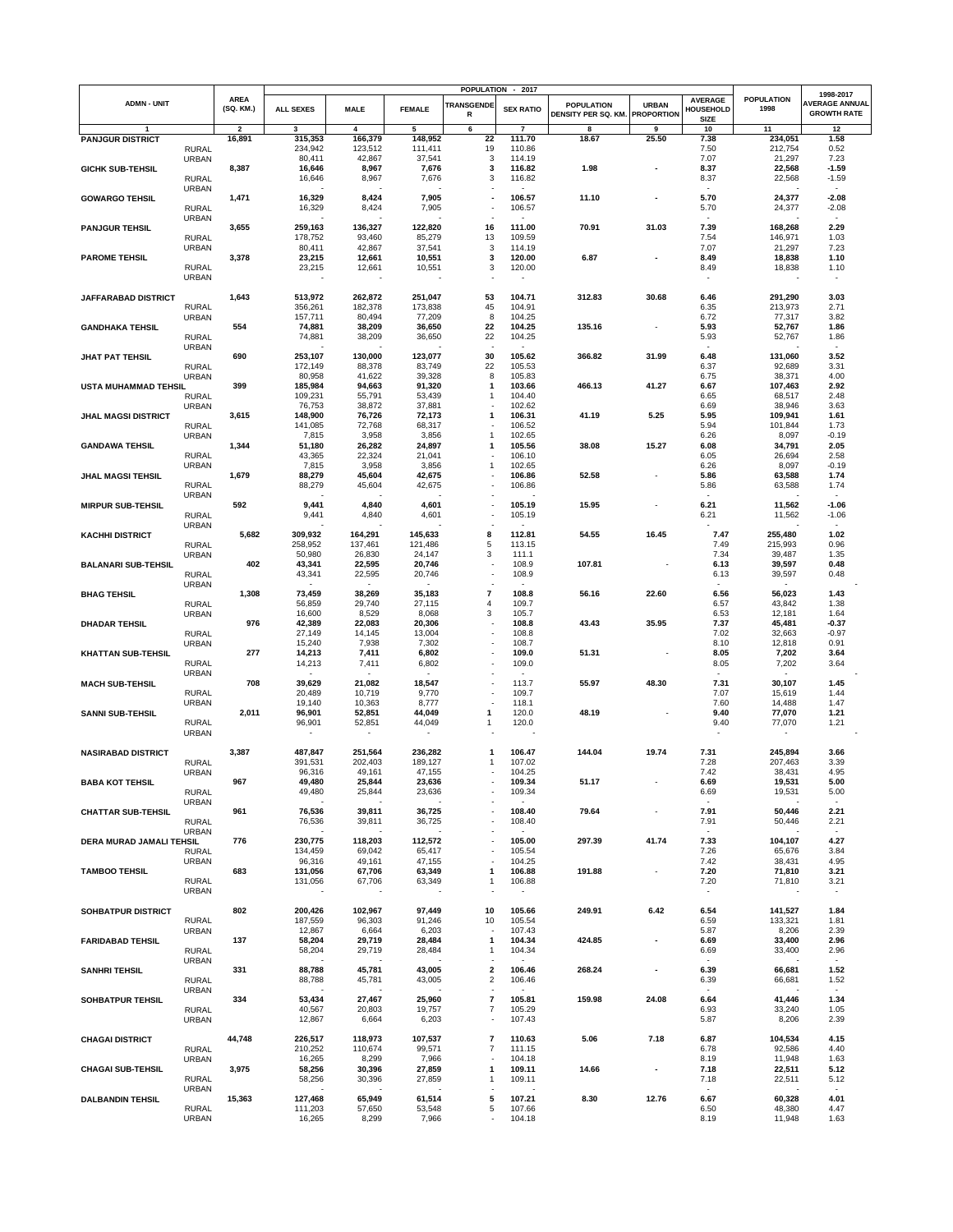|                            |                              |                          |                    |                    |                    |                                          | POPULATION - 2017 |                                          |                                   |                                                   |                           | 1998-2017                                   |
|----------------------------|------------------------------|--------------------------|--------------------|--------------------|--------------------|------------------------------------------|-------------------|------------------------------------------|-----------------------------------|---------------------------------------------------|---------------------------|---------------------------------------------|
| <b>ADMN - UNIT</b>         |                              | <b>AREA</b><br>(SQ. KM.) | <b>ALL SEXES</b>   | <b>MALE</b>        | <b>FEMALE</b>      | <b>TRANSGENDE</b><br>R                   | <b>SEX RATIO</b>  | <b>POPULATION</b><br>DENSITY PER SQ. KM. | <b>URBAN</b><br><b>PROPORTION</b> | <b>AVERAGE</b><br><b>HOUSEHOLD</b><br><b>SIZE</b> | <b>POPULATION</b><br>1998 | <b>AVERAGE ANNUAL</b><br><b>GROWTH RATE</b> |
| $\mathbf{1}$               |                              | $\overline{\mathbf{2}}$  | $\mathbf{3}$       | 4                  | 5                  | 6                                        | $\overline{7}$    | 8                                        | 9                                 | 10                                                | 11                        | 12                                          |
| <b>PANJGUR DISTRICT</b>    | <b>RURAL</b>                 | 16,891                   | 315,353<br>234,942 | 166,379<br>123,512 | 148,952<br>111,411 | 22<br>19                                 | 111.70<br>110.86  | 18.67                                    | 25.50                             | 7.38<br>7.50                                      | 234,051<br>212,754        | 1.58<br>0.52                                |
|                            | <b>URBAN</b>                 |                          | 80,411             | 42,867             | 37,541             | 3                                        | 114.19            |                                          |                                   | 7.07                                              | 21,297                    | 7.23                                        |
| <b>GICHK SUB-TEHSIL</b>    |                              | 8,387                    | 16,646             | 8,967              | 7,676              | 3                                        | 116.82            | 1.98                                     |                                   | 8.37                                              | 22,568                    | $-1.59$                                     |
|                            | <b>RURAL</b>                 |                          | 16,646             | 8,967              | 7,676              | 3                                        | 116.82            |                                          |                                   | 8.37                                              | 22,568                    | $-1.59$                                     |
|                            | <b>URBAN</b>                 |                          |                    |                    |                    |                                          |                   |                                          |                                   |                                                   |                           | $\sim$                                      |
| <b>GOWARGO TEHSIL</b>      |                              | 1,471                    | 16,329             | 8,424              | 7,905              | ٠                                        | 106.57            | 11.10                                    |                                   | 5.70                                              | 24,377                    | $-2.08$                                     |
|                            | <b>RURAL</b><br><b>URBAN</b> |                          | 16,329             | 8,424              | 7,905              |                                          | 106.57            |                                          |                                   | 5.70                                              | 24,377                    | $-2.08$<br>$\sim$                           |
| <b>PANJGUR TEHSIL</b>      |                              | 3,655                    | 259,163            | 136,327            | 122,820            | 16                                       | 111.00            | 70.91                                    | 31.03                             | 7.39                                              | 168,268                   | 2.29                                        |
|                            | <b>RURAL</b>                 |                          | 178,752            | 93,460             | 85,279             | 13                                       | 109.59            |                                          |                                   | 7.54                                              | 146,971                   | 1.03                                        |
|                            | URBAN                        |                          | 80,411             | 42,867             | 37,541             | 3                                        | 114.19            |                                          |                                   | 7.07                                              | 21,297                    | 7.23                                        |
| <b>PAROME TEHSIL</b>       |                              | 3,378                    | 23,215             | 12,661             | 10,551             | 3                                        | 120.00            | 6.87                                     |                                   | 8.49                                              | 18,838                    | 1.10                                        |
|                            | <b>RURAL</b><br>URBAN        |                          | 23,215             | 12,661             | 10,551             | 3                                        | 120.00            |                                          |                                   | 8.49                                              | 18,838                    | 1.10                                        |
|                            |                              |                          |                    |                    |                    |                                          |                   |                                          |                                   |                                                   |                           |                                             |
| JAFFARABAD DISTRICT        |                              | 1,643                    | 513,972            | 262,872            | 251,047            | 53                                       | 104.71            | 312.83                                   | 30.68                             | 6.46                                              | 291,290                   | 3.03                                        |
|                            | <b>RURAL</b>                 |                          | 356,261            | 182,378            | 173,838            | 45                                       | 104.91            |                                          |                                   | 6.35                                              | 213,973                   | 2.71                                        |
|                            | <b>URBAN</b>                 |                          | 157,711            | 80,494             | 77,209             | 8                                        | 104.25            |                                          |                                   | 6.72                                              | 77,317                    | 3.82                                        |
| <b>GANDHAKA TEHSIL</b>     |                              | 554                      | 74,881             | 38,209             | 36,650             | 22                                       | 104.25            | 135.16                                   |                                   | 5.93                                              | 52,767                    | 1.86                                        |
|                            | <b>RURAL</b><br><b>URBAN</b> |                          | 74,881             | 38,209             | 36,650             | 22<br>$\overline{\phantom{a}}$           | 104.25            |                                          |                                   | 5.93                                              | 52,767                    | 1.86<br>$\sim$                              |
| <b>JHAT PAT TEHSIL</b>     |                              | 690                      | 253,107            | 130,000            | 123,077            | 30                                       | 105.62            | 366.82                                   | 31.99                             | 6.48                                              | 131,060                   | 3.52                                        |
|                            | <b>RURAL</b>                 |                          | 172,149            | 88,378             | 83,749             | 22                                       | 105.53            |                                          |                                   | 6.37                                              | 92,689                    | 3.31                                        |
|                            | <b>URBAN</b>                 |                          | 80,958             | 41,622             | 39,328             | 8                                        | 105.83            |                                          |                                   | 6.75                                              | 38,371                    | 4.00                                        |
| USTA MUHAMMAD TEHSIL       |                              | 399                      | 185,984            | 94,663             | 91,320             | 1<br>$\mathbf{1}$                        | 103.66<br>104.40  | 466.13                                   | 41.27                             | 6.67<br>6.65                                      | 107,463                   | 2.92<br>2.48                                |
|                            | <b>RURAL</b><br>URBAN        |                          | 109,231<br>76,753  | 55,791<br>38,872   | 53,439<br>37,881   |                                          | 102.62            |                                          |                                   | 6.69                                              | 68,517<br>38,946          | 3.63                                        |
| <b>JHAL MAGSI DISTRICT</b> |                              | 3,615                    | 148,900            | 76,726             | 72,173             | 1                                        | 106.31            | 41.19                                    | 5.25                              | 5.95                                              | 109,941                   | 1.61                                        |
|                            | <b>RURAL</b>                 |                          | 141,085            | 72,768             | 68,317             |                                          | 106.52            |                                          |                                   | 5.94                                              | 101,844                   | 1.73                                        |
|                            | <b>URBAN</b>                 |                          | 7,815              | 3,958              | 3,856              | 1                                        | 102.65            |                                          |                                   | 6.26                                              | 8,097                     | $-0.19$                                     |
| <b>GANDAWA TEHSIL</b>      |                              | 1,344                    | 51,180             | 26,282             | 24,897             | $\mathbf{1}$                             | 105.56            | 38.08                                    | 15.27                             | 6.08                                              | 34,791                    | 2.05                                        |
|                            | <b>RURAL</b>                 |                          | 43,365<br>7,815    | 22,324<br>3,958    | 21,041<br>3,856    | $\mathbf{1}$                             | 106.10<br>102.65  |                                          |                                   | 6.05<br>6.26                                      | 26,694<br>8,097           | 2.58<br>$-0.19$                             |
| <b>JHAL MAGSI TEHSIL</b>   | <b>URBAN</b>                 | 1,679                    | 88,279             | 45,604             | 42,675             |                                          | 106.86            | 52.58                                    |                                   | 5.86                                              | 63,588                    | 1.74                                        |
|                            | <b>RURAL</b>                 |                          | 88,279             | 45,604             | 42,675             |                                          | 106.86            |                                          |                                   | 5.86                                              | 63,588                    | 1.74                                        |
|                            | <b>URBAN</b>                 |                          |                    |                    |                    |                                          |                   |                                          |                                   | ۰.                                                |                           | $\sim$                                      |
| <b>MIRPUR SUB-TEHSIL</b>   |                              | 592                      | 9,441              | 4,840              | 4,601              |                                          | 105.19            | 15.95                                    |                                   | 6.21                                              | 11,562                    | $-1.06$                                     |
|                            | <b>RURAL</b>                 |                          | 9,441              | 4,840              | 4,601              |                                          | 105.19            |                                          |                                   | 6.21                                              | 11,562                    | $-1.06$                                     |
| <b>KACHHI DISTRICT</b>     | <b>URBAN</b>                 | 5,682                    | 309,932            | 164,291            | 145,633            | 8                                        | 112.81            | 54.55                                    | 16.45                             | 7.47                                              | 255,480                   | $\sim$<br>1.02                              |
|                            | <b>RURAL</b>                 |                          | 258,952            | 137,461            | 121,486            | 5                                        | 113.15            |                                          |                                   | 7.49                                              | 215,993                   | 0.96                                        |
|                            | <b>URBAN</b>                 |                          | 50,980             | 26,830             | 24,147             | 3                                        | 111.1             |                                          |                                   | 7.34                                              | 39,487                    | 1.35                                        |
| <b>BALANARI SUB-TEHSIL</b> |                              | 402                      | 43,341             | 22,595             | 20,746             |                                          | 108.9             | 107.81                                   |                                   | 6.13                                              | 39,597                    | 0.48                                        |
|                            | <b>RURAL</b>                 |                          | 43,341             | 22,595             | 20,746             |                                          | 108.9             |                                          |                                   | 6.13                                              | 39,597                    | 0.48                                        |
| <b>BHAG TEHSIL</b>         | <b>URBAN</b>                 | 1,308                    | 73,459             | 38,269             | 35,183             | $\overline{7}$                           | 108.8             | 56.16                                    | 22.60                             | 6.56                                              | 56,023                    | 1.43                                        |
|                            | <b>RURAL</b>                 |                          | 56,859             | 29,740             | 27,115             | 4                                        | 109.7             |                                          |                                   | 6.57                                              | 43,842                    | 1.38                                        |
|                            | URBAN                        |                          | 16,600             | 8,529              | 8,068              | 3                                        | 105.7             |                                          |                                   | 6.53                                              | 12,181                    | 1.64                                        |
| <b>DHADAR TEHSIL</b>       |                              | 976                      | 42,389             | 22,083             | 20,306             |                                          | 108.8             | 43.43                                    | 35.95                             | 7.37                                              | 45,481                    | $-0.37$                                     |
|                            | <b>RURAL</b>                 |                          | 27,149             | 14,145             | 13,004             |                                          | 108.8             |                                          |                                   | 7.02                                              | 32,663                    | $-0.97$                                     |
|                            | <b>URBAN</b>                 | 277                      | 15,240<br>14,213   | 7,938<br>7,411     | 7,302<br>6,802     |                                          | 108.7<br>109.0    | 51.31                                    |                                   | 8.10<br>8.05                                      | 12,818<br>7,202           | 0.91<br>3.64                                |
| <b>KHATTAN SUB-TEHSIL</b>  | <b>RURAL</b>                 |                          | 14,213             | 7,411              | 6,802              |                                          | 109.0             |                                          |                                   | 8.05                                              | 7,202                     | 3.64                                        |
|                            | URBAN                        |                          |                    |                    | $\sim$             |                                          |                   |                                          |                                   |                                                   |                           |                                             |
| <b>MACH SUB-TEHSIL</b>     |                              | 708                      | 39,629             | 21,082             | 18,547             |                                          | 113.7             | 55.97                                    | 48.30                             | 7.31                                              | 30,107                    | 1.45                                        |
|                            | <b>RURAL</b>                 |                          | 20,489             | 10,719             | 9,770              |                                          | 109.7             |                                          |                                   | 7.07                                              | 15,619                    | 1.44                                        |
|                            | URBAN                        | 2,011                    | 19,140             | 10,363             | 8,777              | ٠<br>1                                   | 118.1             |                                          |                                   | 7.60                                              | 14,488                    | 1.47                                        |
| <b>SANNI SUB-TEHSIL</b>    | <b>RURAL</b>                 |                          | 96,901<br>96,901   | 52,851<br>52,851   | 44,049<br>44,049   | 1                                        | 120.0<br>120.0    | 48.19                                    |                                   | 9.40<br>9.40                                      | 77,070<br>77,070          | 1.21<br>1.21                                |
|                            | URBAN                        |                          |                    |                    |                    |                                          |                   |                                          |                                   |                                                   |                           |                                             |
|                            |                              |                          |                    |                    |                    |                                          |                   |                                          |                                   |                                                   |                           |                                             |
| <b>NASIRABAD DISTRICT</b>  |                              | 3,387                    | 487,847            | 251,564            | 236,282            | 1                                        | 106.47            | 144.04                                   | 19.74                             | 7.31                                              | 245,894                   | 3.66                                        |
|                            | <b>RURAL</b><br>URBAN        |                          | 391,531<br>96,316  | 202,403<br>49,161  | 189,127<br>47,155  | -1                                       | 107.02<br>104.25  |                                          |                                   | 7.28<br>7.42                                      | 207,463<br>38,431         | 3.39<br>4.95                                |
| <b>BABA KOT TEHSIL</b>     |                              | 967                      | 49,480             | 25,844             | 23,636             |                                          | 109.34            | 51.17                                    |                                   | 6.69                                              | 19,531                    | 5.00                                        |
|                            | <b>RURAL</b>                 |                          | 49,480             | 25,844             | 23,636             |                                          | 109.34            |                                          |                                   | 6.69                                              | 19,531                    | 5.00                                        |
|                            | URBAN                        |                          |                    |                    |                    |                                          |                   |                                          |                                   |                                                   |                           |                                             |
| <b>CHATTAR SUB-TEHSIL</b>  |                              | 961                      | 76,536             | 39,811             | 36,725             |                                          | 108.40            | 79.64                                    |                                   | 7.91                                              | 50,446                    | 2.21                                        |
|                            | <b>RURAL</b><br>URBAN        |                          | 76,536             | 39,811             | 36,725             |                                          | 108.40            |                                          |                                   | 7.91<br>$\overline{\phantom{a}}$                  | 50,446                    | 2.21<br>$\sim$                              |
| DERA MURAD JAMALI TEHSIL   |                              | 776                      | 230,775            | 118,203            | 112,572            |                                          | 105.00            | 297.39                                   | 41.74                             | 7.33                                              | 104,107                   | 4.27                                        |
|                            | <b>RURAL</b>                 |                          | 134,459            | 69,042             | 65,417             |                                          | 105.54            |                                          |                                   | 7.26                                              | 65,676                    | 3.84                                        |
|                            | URBAN                        |                          | 96,316             | 49,161             | 47,155             | $\overline{\phantom{a}}$                 | 104.25            |                                          |                                   | 7.42                                              | 38,431                    | 4.95                                        |
| <b>TAMBOO TEHSIL</b>       |                              | 683                      | 131,056            | 67,706             | 63,349             | 1                                        | 106.88            | 191.88                                   | $\overline{\phantom{a}}$          | 7.20                                              | 71,810                    | 3.21                                        |
|                            | <b>RURAL</b><br>URBAN        |                          | 131,056            | 67,706             | 63,349             | -1                                       | 106.88            |                                          |                                   | 7.20                                              | 71,810                    | 3.21                                        |
|                            |                              |                          |                    |                    |                    |                                          |                   |                                          |                                   |                                                   |                           |                                             |
| SOHBATPUR DISTRICT         |                              | 802                      | 200,426            | 102,967            | 97,449             | 10                                       | 105.66            | 249.91                                   | 6.42                              | 6.54                                              | 141,527                   | 1.84                                        |
|                            | <b>RURAL</b>                 |                          | 187,559            | 96,303             | 91,246             | 10                                       | 105.54            |                                          |                                   | 6.59                                              | 133,321                   | 1.81                                        |
|                            | URBAN                        | 137                      | 12,867<br>58,204   | 6,664<br>29,719    | 6,203<br>28,484    | $\overline{\phantom{a}}$<br>$\mathbf{1}$ | 107.43<br>104.34  | 424.85                                   | $\overline{\phantom{a}}$          | 5.87<br>6.69                                      | 8,206<br>33,400           | 2.39<br>2.96                                |
| <b>FARIDABAD TEHSIL</b>    | <b>RURAL</b>                 |                          | 58,204             | 29,719             | 28,484             | 1                                        | 104.34            |                                          |                                   | 6.69                                              | 33,400                    | 2.96                                        |
|                            | URBAN                        |                          |                    |                    |                    |                                          |                   |                                          |                                   |                                                   |                           |                                             |
| <b>SANHRI TEHSIL</b>       |                              | 331                      | 88,788             | 45,781             | 43,005             | 2                                        | 106.46            | 268.24                                   |                                   | 6.39                                              | 66,681                    | 1.52                                        |
|                            | <b>RURAL</b>                 |                          | 88,788             | 45,781             | 43,005             | $\overline{\mathbf{c}}$                  | 106.46            |                                          |                                   | 6.39                                              | 66,681                    | 1.52                                        |
|                            | URBAN                        |                          |                    |                    |                    | $\overline{\phantom{a}}$                 | $\sim$            |                                          |                                   | $\sim$                                            |                           | $\sim$                                      |
| SOHBATPUR TEHSIL           |                              | 334                      | 53,434<br>40,567   | 27,467<br>20,803   | 25,960<br>19,757   | $\overline{7}$<br>$\overline{7}$         | 105.81<br>105.29  | 159.98                                   | 24.08                             | 6.64<br>6.93                                      | 41,446<br>33,240          | 1.34<br>1.05                                |
|                            | <b>RURAL</b><br>URBAN        |                          | 12,867             | 6,664              | 6,203              | $\overline{\phantom{a}}$                 | 107.43            |                                          |                                   | 5.87                                              | 8,206                     | 2.39                                        |
|                            |                              |                          |                    |                    |                    |                                          |                   |                                          |                                   |                                                   |                           |                                             |
| <b>CHAGAI DISTRICT</b>     |                              | 44,748                   | 226,517            | 118,973            | 107,537            | $\overline{\phantom{a}}$                 | 110.63            | 5.06                                     | 7.18                              | 6.87                                              | 104,534                   | 4.15                                        |
|                            | <b>RURAL</b>                 |                          | 210,252            | 110,674            | 99,571             | 7                                        | 111.15            |                                          |                                   | 6.78                                              | 92,586                    | 4.40                                        |
| <b>CHAGAI SUB-TEHSIL</b>   | URBAN                        | 3,975                    | 16,265<br>58,256   | 8,299<br>30,396    | 7,966<br>27,859    | $\mathbf{1}$                             | 104.18<br>109.11  | 14.66                                    | $\blacksquare$                    | 8.19<br>7.18                                      | 11,948<br>22,511          | 1.63<br>5.12                                |
|                            | <b>RURAL</b>                 |                          | 58,256             | 30,396             | 27,859             | 1                                        | 109.11            |                                          |                                   | 7.18                                              | 22,511                    | 5.12                                        |
|                            | URBAN                        |                          |                    |                    |                    |                                          |                   |                                          |                                   |                                                   |                           |                                             |
| <b>DALBANDIN TEHSIL</b>    |                              | 15,363                   | 127,468            | 65,949             | 61,514             | 5                                        | 107.21            | 8.30                                     | 12.76                             | 6.67                                              | 60,328                    | 4.01                                        |
|                            | <b>RURAL</b>                 |                          | 111,203<br>16,265  | 57,650<br>8,299    | 53,548<br>7,966    | 5<br>$\overline{\phantom{a}}$            | 107.66<br>104.18  |                                          |                                   | 6.50<br>8.19                                      | 48,380<br>11,948          | 4.47<br>1.63                                |
|                            | URBAN                        |                          |                    |                    |                    |                                          |                   |                                          |                                   |                                                   |                           |                                             |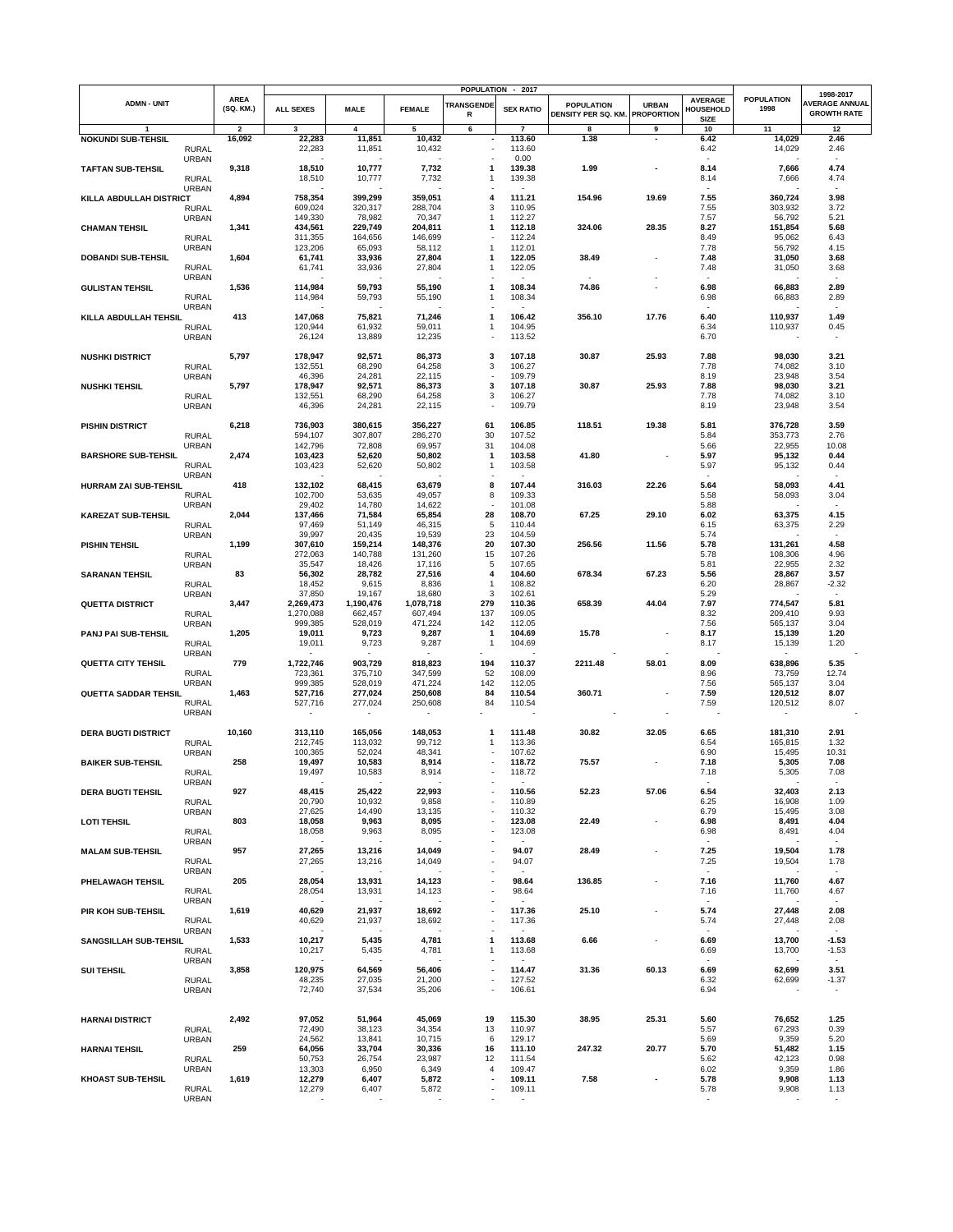|                              |                              |                          |                     |                     |                          |                          | POPULATION - 2017 |                                          |                                   |                                            |                           | 1998-2017                                   |
|------------------------------|------------------------------|--------------------------|---------------------|---------------------|--------------------------|--------------------------|-------------------|------------------------------------------|-----------------------------------|--------------------------------------------|---------------------------|---------------------------------------------|
| <b>ADMN - UNIT</b>           |                              | <b>AREA</b><br>(SQ. KM.) | <b>ALL SEXES</b>    | <b>MALE</b>         | <b>FEMALE</b>            | <b>TRANSGENDE</b><br>R   | <b>SEX RATIO</b>  | <b>POPULATION</b><br>DENSITY PER SQ. KM. | <b>URBAN</b><br><b>PROPORTION</b> | <b>AVERAGE</b><br>HOUSEHOLD<br><b>SIZE</b> | <b>POPULATION</b><br>1998 | <b>AVERAGE ANNUAL</b><br><b>GROWTH RATE</b> |
| <b>NOKUNDI SUB-TEHSIL</b>    |                              | $\overline{\mathbf{2}}$  | 3                   | 4                   | 5                        | 6                        | $\overline{7}$    | 8                                        | 9                                 | 10                                         | 11                        | 12                                          |
|                              | <b>RURAL</b>                 | 16,092                   | 22,283<br>22,283    | 11,851<br>11,851    | 10,432<br>10,432         | $\overline{\phantom{a}}$ | 113.60<br>113.60  | 1.38                                     |                                   | 6.42<br>6.42                               | 14,029<br>14,029          | 2.46<br>2.46                                |
|                              | <b>URBAN</b>                 |                          |                     |                     |                          |                          | 0.00              |                                          |                                   |                                            |                           | - 1                                         |
| <b>TAFTAN SUB-TEHSIL</b>     | <b>RURAL</b>                 | 9,318                    | 18,510<br>18,510    | 10,777<br>10,777    | 7,732<br>7,732           | 1<br>1                   | 139.38<br>139.38  | 1.99                                     |                                   | 8.14<br>8.14                               | 7,666<br>7,666            | 4.74<br>4.74                                |
| KILLA ABDULLAH DISTRICT      | <b>URBAN</b>                 | 4,894                    | 758,354             | 399,299             | 359,051                  | 4                        | 111.21            | 154.96                                   | 19.69                             | $\overline{\phantom{a}}$<br>7.55           | 360,724                   | $\sim$<br>3.98                              |
|                              | <b>RURAL</b>                 |                          | 609,024             | 320,317             | 288,704                  | 3                        | 110.95            |                                          |                                   | 7.55                                       | 303,932                   | 3.72                                        |
|                              | <b>URBAN</b>                 |                          | 149,330             | 78,982              | 70,347                   | 1                        | 112.27            |                                          |                                   | 7.57                                       | 56,792                    | 5.21                                        |
| <b>CHAMAN TEHSIL</b>         |                              | 1,341                    | 434,561             | 229,749             | 204,811                  | 1                        | 112.18            | 324.06                                   | 28.35                             | 8.27                                       | 151,854                   | 5.68                                        |
|                              | <b>RURAL</b><br><b>URBAN</b> |                          | 311,355<br>123,206  | 164,656<br>65,093   | 146,699<br>58,112        | -1                       | 112.24<br>112.01  |                                          |                                   | 8.49<br>7.78                               | 95,062<br>56,792          | 6.43<br>4.15                                |
| <b>DOBANDI SUB-TEHSIL</b>    |                              | 1,604                    | 61,741              | 33,936              | 27,804                   | 1                        | 122.05            | 38.49                                    |                                   | 7.48                                       | 31,050                    | 3.68                                        |
|                              | <b>RURAL</b>                 |                          | 61,741              | 33,936              | 27,804                   | 1                        | 122.05            |                                          |                                   | 7.48                                       | 31,050                    | 3.68                                        |
|                              | <b>URBAN</b>                 |                          |                     |                     |                          |                          |                   |                                          |                                   |                                            |                           |                                             |
| <b>GULISTAN TEHSIL</b>       | <b>RURAL</b>                 | 1,536                    | 114,984<br>114,984  | 59,793<br>59,793    | 55,190<br>55,190         | 1<br>$\mathbf{1}$        | 108.34<br>108.34  | 74.86                                    |                                   | 6.98<br>6.98                               | 66,883<br>66,883          | 2.89<br>2.89                                |
|                              | <b>URBAN</b>                 |                          |                     |                     |                          |                          |                   |                                          |                                   |                                            |                           |                                             |
| KILLA ABDULLAH TEHSIL        |                              | 413                      | 147,068             | 75,821              | 71,246                   | $\mathbf{1}$             | 106.42            | 356.10                                   | 17.76                             | 6.40                                       | 110,937                   | 1.49                                        |
|                              | <b>RURAL</b>                 |                          | 120,944             | 61,932              | 59,011                   | -1                       | 104.95            |                                          |                                   | 6.34                                       | 110,937                   | 0.45                                        |
|                              | <b>URBAN</b>                 |                          | 26,124              | 13,889              | 12,235                   |                          | 113.52            |                                          |                                   | 6.70                                       |                           | $\overline{\phantom{a}}$                    |
| <b>NUSHKI DISTRICT</b>       |                              | 5,797                    | 178,947             | 92,571              | 86,373                   | 3                        | 107.18            | 30.87                                    | 25.93                             | 7.88                                       | 98,030                    | 3.21                                        |
|                              | <b>RURAL</b>                 |                          | 132,551             | 68,290              | 64,258                   | 3                        | 106.27            |                                          |                                   | 7.78                                       | 74,082                    | 3.10                                        |
|                              | <b>URBAN</b>                 |                          | 46,396              | 24,281              | 22,115                   | $\overline{\phantom{a}}$ | 109.79            |                                          |                                   | 8.19                                       | 23,948                    | 3.54                                        |
| <b>NUSHKI TEHSIL</b>         | <b>RURAL</b>                 | 5,797                    | 178,947<br>132,551  | 92,571<br>68,290    | 86,373<br>64,258         | 3<br>3                   | 107.18<br>106.27  | 30.87                                    | 25.93                             | 7.88<br>7.78                               | 98,030<br>74,082          | 3.21<br>3.10                                |
|                              | <b>URBAN</b>                 |                          | 46,396              | 24,281              | 22,115                   |                          | 109.79            |                                          |                                   | 8.19                                       | 23,948                    | 3.54                                        |
|                              |                              |                          |                     |                     |                          |                          |                   |                                          |                                   |                                            |                           |                                             |
| <b>PISHIN DISTRICT</b>       |                              | 6,218                    | 736,903             | 380,615             | 356,227                  | 61                       | 106.85            | 118.51                                   | 19.38                             | 5.81                                       | 376,728                   | 3.59                                        |
|                              | <b>RURAL</b><br><b>URBAN</b> |                          | 594,107<br>142,796  | 307,807<br>72,808   | 286,270<br>69,957        | 30<br>31                 | 107.52<br>104.08  |                                          |                                   | 5.84<br>5.66                               | 353,773<br>22,955         | 2.76<br>10.08                               |
| <b>BARSHORE SUB-TEHSIL</b>   |                              | 2,474                    | 103,423             | 52,620              | 50,802                   | 1                        | 103.58            | 41.80                                    |                                   | 5.97                                       | 95,132                    | 0.44                                        |
|                              | <b>RURAL</b>                 |                          | 103,423             | 52,620              | 50,802                   | 1                        | 103.58            |                                          |                                   | 5.97                                       | 95,132                    | 0.44                                        |
|                              | <b>URBAN</b>                 |                          |                     |                     |                          |                          |                   |                                          |                                   |                                            |                           |                                             |
| <b>HURRAM ZAI SUB-TEHSIL</b> |                              | 418                      | 132,102<br>102,700  | 68,415              | 63,679                   | 8                        | 107.44            | 316.03                                   | 22.26                             | 5.64                                       | 58,093                    | 4.41                                        |
|                              | <b>RURAL</b><br><b>URBAN</b> |                          | 29,402              | 53,635<br>14,780    | 49,057<br>14,622         | 8                        | 109.33<br>101.08  |                                          |                                   | 5.58<br>5.88                               | 58,093                    | 3.04                                        |
| <b>KAREZAT SUB-TEHSIL</b>    |                              | 2,044                    | 137,466             | 71,584              | 65,854                   | 28                       | 108.70            | 67.25                                    | 29.10                             | 6.02                                       | 63,375                    | 4.15                                        |
|                              | <b>RURAL</b>                 |                          | 97,469              | 51,149              | 46,315                   | 5                        | 110.44            |                                          |                                   | 6.15                                       | 63,375                    | 2.29                                        |
|                              | <b>URBAN</b>                 |                          | 39,997              | 20,435              | 19,539                   | 23<br>20                 | 104.59            |                                          |                                   | 5.74                                       |                           | $\sim$<br>4.58                              |
| <b>PISHIN TEHSIL</b>         | <b>RURAL</b>                 | 1,199                    | 307,610<br>272,063  | 159,214<br>140,788  | 148,376<br>131,260       | 15                       | 107.30<br>107.26  | 256.56                                   | 11.56                             | 5.78<br>5.78                               | 131,261<br>108,306        | 4.96                                        |
|                              | <b>URBAN</b>                 |                          | 35,547              | 18,426              | 17,116                   | 5                        | 107.65            |                                          |                                   | 5.81                                       | 22,955                    | 2.32                                        |
| <b>SARANAN TEHSIL</b>        |                              | 83                       | 56,302              | 28,782              | 27,516                   | 4                        | 104.60            | 678.34                                   | 67.23                             | 5.56                                       | 28,867                    | 3.57                                        |
|                              | <b>RURAL</b>                 |                          | 18,452              | 9,615               | 8,836                    | $\mathbf{1}$             | 108.82            |                                          |                                   | 6.20                                       | 28,867                    | $-2.32$                                     |
| <b>QUETTA DISTRICT</b>       | <b>URBAN</b>                 | 3,447                    | 37,850<br>2,269,473 | 19,167<br>1,190,476 | 18,680<br>1,078,718      | 3<br>279                 | 102.61<br>110.36  | 658.39                                   | 44.04                             | 5.29<br>7.97                               | 774,547                   | 5.81                                        |
|                              | <b>RURAL</b>                 |                          | 1,270,088           | 662,457             | 607,494                  | 137                      | 109.05            |                                          |                                   | 8.32                                       | 209,410                   | 9.93                                        |
|                              | <b>URBAN</b>                 |                          | 999,385             | 528,019             | 471,224                  | 142                      | 112.05            |                                          |                                   | 7.56                                       | 565,137                   | 3.04                                        |
| PANJ PAI SUB-TEHSIL          |                              | 1,205                    | 19,011              | 9,723               | 9,287                    | $\mathbf{1}$             | 104.69            | 15.78                                    |                                   | 8.17                                       | 15,139                    | 1.20                                        |
|                              | <b>RURAL</b>                 |                          | 19,011              | 9,723               | 9,287<br>$\sim$          | $\mathbf{1}$             | 104.69            |                                          |                                   | 8.17                                       | 15,139                    | 1.20                                        |
| <b>QUETTA CITY TEHSIL</b>    | <b>URBAN</b>                 | 779                      | 1,722,746           | 903,729             | 818,823                  | 194                      | 110.37            | 2211.48                                  | 58.01                             | 8.09                                       | 638,896                   | 5.35                                        |
|                              | <b>RURAL</b>                 |                          | 723,361             | 375,710             | 347,599                  | 52                       | 108.09            |                                          |                                   | 8.96                                       | 73,759                    | 12.74                                       |
|                              | <b>URBAN</b>                 |                          | 999,385             | 528,019             | 471,224                  | 142                      | 112.05            |                                          |                                   | 7.56                                       | 565,137                   | 3.04                                        |
| <b>QUETTA SADDAR TEHSIL</b>  |                              | 1,463                    | 527,716<br>527,716  | 277,024             | 250,608<br>250,608       | 84                       | 110.54<br>110.54  | 360.71                                   |                                   | 7.59                                       | 120,512<br>120,512        | 8.07                                        |
|                              | <b>RURAL</b><br><b>URBAN</b> |                          |                     | 277,024             | $\overline{\phantom{a}}$ | 84                       |                   |                                          |                                   | 7.59                                       |                           | 8.07                                        |
|                              |                              |                          |                     |                     |                          |                          |                   |                                          |                                   |                                            |                           |                                             |
| <b>DERA BUGTI DISTRICT</b>   |                              | 10,160                   | 313,110             | 165,056             | 148,053                  | 1                        | 111.48            | 30.82                                    | 32.05                             | 6.65                                       | 181,310                   | 2.91                                        |
|                              | <b>RURAL</b><br><b>URBAN</b> |                          | 212,745<br>100,365  | 113,032<br>52,024   | 99,712<br>48,341         | -1                       | 113.36<br>107.62  |                                          |                                   | 6.54<br>6.90                               | 165,815<br>15,495         | 1.32<br>10.31                               |
| <b>BAIKER SUB-TEHSIL</b>     |                              | 258                      | 19,497              | 10,583              | 8,914                    |                          | 118.72            | 75.57                                    |                                   | 7.18                                       | 5,305                     | 7.08                                        |
|                              | <b>RURAL</b>                 |                          | 19,497              | 10,583              | 8,914                    |                          | 118.72            |                                          |                                   | 7.18                                       | 5,305                     | 7.08                                        |
|                              | URBAN                        |                          |                     |                     |                          |                          |                   |                                          |                                   |                                            |                           |                                             |
| <b>DERA BUGTI TEHSIL</b>     |                              | 927                      | 48,415<br>20,790    | 25,422<br>10,932    | 22,993<br>9,858          |                          | 110.56<br>110.89  | 52.23                                    | 57.06                             | 6.54<br>6.25                               | 32,403<br>16,908          | 2.13<br>1.09                                |
|                              | <b>RURAL</b><br><b>URBAN</b> |                          | 27,625              | 14,490              | 13,135                   |                          | 110.32            |                                          |                                   | 6.79                                       | 15,495                    | 3.08                                        |
| <b>LOTI TEHSIL</b>           |                              | 803                      | 18,058              | 9,963               | 8,095                    |                          | 123.08            | 22.49                                    |                                   | 6.98                                       | 8,491                     | 4.04                                        |
|                              | <b>RURAL</b>                 |                          | 18,058              | 9,963               | 8,095                    |                          | 123.08            |                                          |                                   | 6.98                                       | 8,491                     | 4.04                                        |
|                              | <b>URBAN</b>                 | 957                      | 27,265              | 13,216              | 14,049                   |                          | 94.07             | 28.49                                    | ٠                                 | $\overline{\phantom{a}}$<br>7.25           | 19,504                    | 1.78                                        |
| <b>MALAM SUB-TEHSIL</b>      | <b>RURAL</b>                 |                          | 27,265              | 13,216              | 14,049                   |                          | 94.07             |                                          |                                   | 7.25                                       | 19,504                    | 1.78                                        |
|                              | <b>URBAN</b>                 |                          |                     |                     |                          |                          |                   |                                          |                                   | $\sim$                                     |                           | $\sim$                                      |
| PHELAWAGH TEHSIL             |                              | 205                      | 28,054              | 13,931              | 14,123                   |                          | 98.64             | 136.85                                   |                                   | 7.16                                       | 11,760                    | 4.67                                        |
|                              | <b>RURAL</b>                 |                          | 28,054              | 13,931              | 14,123                   |                          | 98.64             |                                          |                                   | 7.16                                       | 11,760                    | 4.67                                        |
| PIR KOH SUB-TEHSIL           | <b>URBAN</b>                 | 1,619                    | 40,629              | 21,937              | 18,692                   |                          | 117.36            | 25.10                                    |                                   | 5.74                                       | 27,448                    | 2.08                                        |
|                              | <b>RURAL</b>                 |                          | 40,629              | 21,937              | 18,692                   |                          | 117.36            |                                          |                                   | 5.74                                       | 27,448                    | 2.08                                        |
|                              | <b>URBAN</b>                 |                          |                     |                     |                          |                          |                   |                                          |                                   |                                            |                           |                                             |
| SANGSILLAH SUB-TEHSIL        |                              | 1,533                    | 10,217              | 5,435               | 4,781                    | 1                        | 113.68            | 6.66                                     |                                   | 6.69                                       | 13,700                    | $-1.53$                                     |
|                              | RURAL                        |                          | 10,217              | 5,435               | 4,781                    | 1                        | 113.68            |                                          |                                   | 6.69                                       | 13,700                    | $-1.53$                                     |
| <b>SUI TEHSIL</b>            | <b>URBAN</b>                 | 3,858                    | 120,975             | 64,569              | 56,406                   |                          | 114.47            | 31.36                                    | 60.13                             | 6.69                                       | 62,699                    | 3.51                                        |
|                              | <b>RURAL</b>                 |                          | 48,235              | 27,035              | 21,200                   |                          | 127.52            |                                          |                                   | 6.32                                       | 62,699                    | $-1.37$                                     |
|                              | <b>URBAN</b>                 |                          | 72,740              | 37,534              | 35,206                   | ٠                        | 106.61            |                                          |                                   | 6.94                                       |                           | $\overline{\phantom{a}}$                    |
|                              |                              |                          |                     |                     |                          |                          |                   |                                          |                                   |                                            |                           |                                             |
| <b>HARNAI DISTRICT</b>       |                              | 2,492                    | 97,052              | 51,964              | 45,069                   | 19                       | 115.30            | 38.95                                    | 25.31                             | 5.60                                       | 76,652                    | 1.25                                        |
|                              | <b>RURAL</b>                 |                          | 72,490              | 38,123              | 34,354                   | 13                       | 110.97            |                                          |                                   | 5.57                                       | 67,293                    | 0.39                                        |
|                              | <b>URBAN</b>                 |                          | 24,562              | 13,841              | 10,715                   | 6                        | 129.17            |                                          |                                   | 5.69                                       | 9,359                     | 5.20                                        |
| <b>HARNAI TEHSIL</b>         |                              | 259                      | 64,056              | 33,704              | 30,336                   | 16<br>12                 | 111.10            | 247.32                                   | 20.77                             | 5.70                                       | 51,482                    | 1.15<br>0.98                                |
|                              | <b>RURAL</b><br><b>URBAN</b> |                          | 50,753<br>13,303    | 26,754<br>6,950     | 23,987<br>6,349          | 4                        | 111.54<br>109.47  |                                          |                                   | 5.62<br>6.02                               | 42,123<br>9,359           | 1.86                                        |
| KHOAST SUB-TEHSIL            |                              | 1,619                    | 12,279              | 6,407               | 5,872                    |                          | 109.11            | 7.58                                     |                                   | 5.78                                       | 9,908                     | 1.13                                        |
|                              | <b>RURAL</b>                 |                          | 12,279              | 6,407               | 5,872                    | $\overline{\phantom{a}}$ | 109.11            |                                          |                                   | 5.78                                       | 9,908                     | 1.13                                        |
|                              | URBAN                        |                          |                     |                     |                          |                          |                   |                                          |                                   |                                            |                           | $\overline{\phantom{a}}$                    |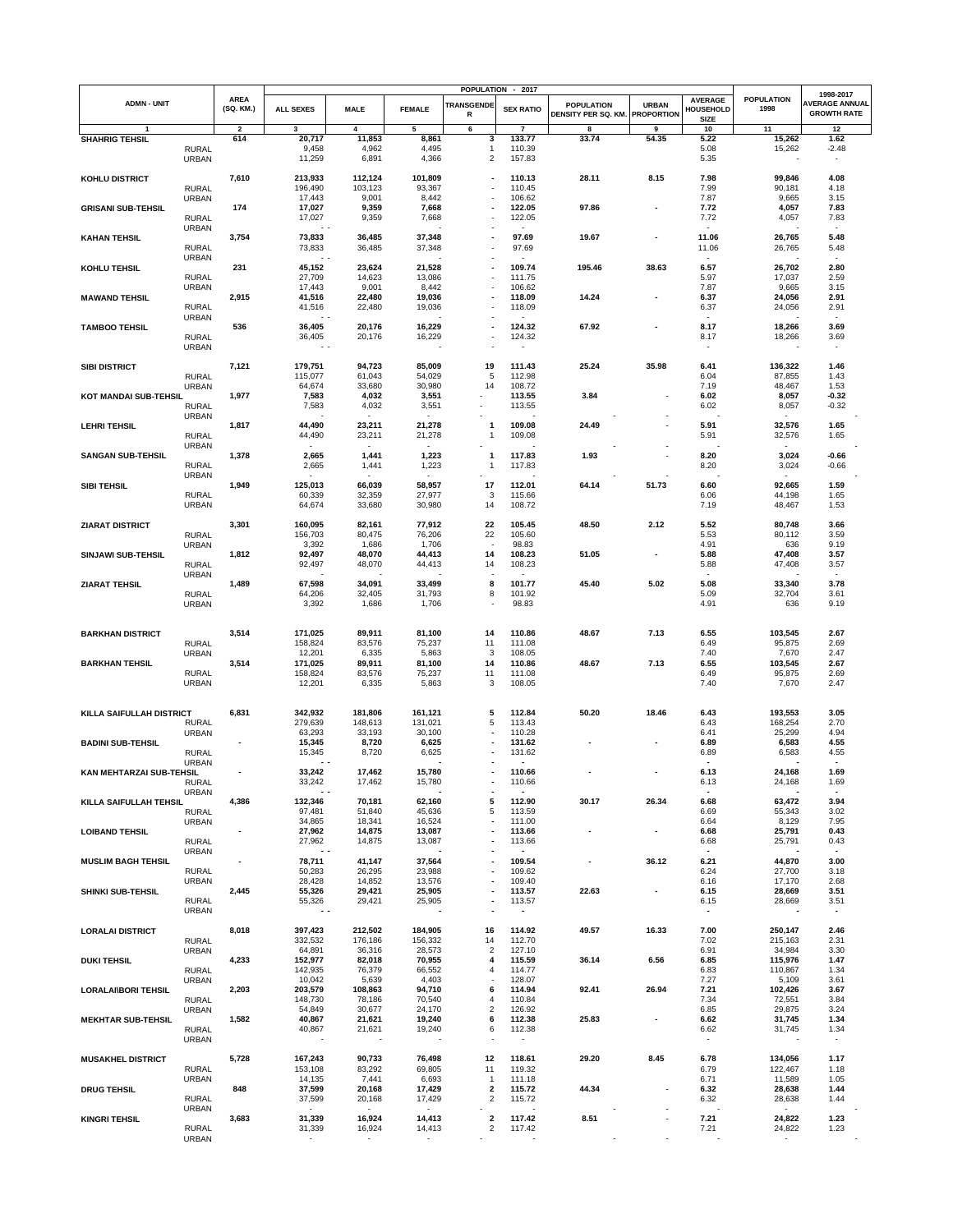|                            |                              |                                |                         |                    |                          |                                  | POPULATION - 2017                  |                     |                   |                             |                           | 1998-2017                        |
|----------------------------|------------------------------|--------------------------------|-------------------------|--------------------|--------------------------|----------------------------------|------------------------------------|---------------------|-------------------|-----------------------------|---------------------------|----------------------------------|
| <b>ADMN - UNIT</b>         |                              | <b>AREA</b><br>(SQ. KM.)       | <b>ALL SEXES</b>        | <b>MALE</b>        | <b>FEMALE</b>            | <b>TRANSGENDE</b>                | <b>SEX RATIO</b>                   | <b>POPULATION</b>   | <b>URBAN</b>      | <b>AVERAGE</b><br>HOUSEHOLD | <b>POPULATION</b><br>1998 | <b>AVERAGE ANNUAL</b>            |
|                            |                              |                                |                         |                    |                          | R                                |                                    | DENSITY PER SQ. KM. | <b>PROPORTION</b> | <b>SIZE</b>                 |                           | <b>GROWTH RATE</b>               |
| <b>SHAHRIG TEHSIL</b>      |                              | $\overline{\mathbf{2}}$<br>614 | 3<br>20,717             | 4<br>11,853        | 5<br>8,861               | 6<br>3                           | $\overline{7}$<br>133.77           | 8<br>33.74          | 9<br>54.35        | 10<br>5.22                  | 11<br>15,262              | 12<br>1.62                       |
|                            | <b>RURAL</b>                 |                                | 9,458                   | 4,962              | 4,495                    | $\mathbf{1}$                     | 110.39                             |                     |                   | 5.08                        | 15,262                    | $-2.48$                          |
|                            | <b>URBAN</b>                 |                                | 11,259                  | 6,891              | 4,366                    | $\overline{\mathbf{c}}$          | 157.83                             |                     |                   | 5.35                        |                           | $\overline{\phantom{a}}$         |
| KOHLU DISTRICT             |                              | 7,610                          | 213,933                 | 112,124            | 101,809                  |                                  | 110.13                             | 28.11               | 8.15              | 7.98                        | 99,846                    | 4.08                             |
|                            | <b>RURAL</b>                 |                                | 196,490                 | 103,123            | 93,367                   |                                  | 110.45                             |                     |                   | 7.99                        | 90,181                    | 4.18                             |
| <b>GRISANI SUB-TEHSIL</b>  | <b>URBAN</b>                 | 174                            | 17,443<br>17,027        | 9,001<br>9,359     | 8,442<br>7,668           | ÷                                | 106.62<br>122.05                   | 97.86               | $\blacksquare$    | 7.87<br>7.72                | 9,665<br>4,057            | 3.15<br>7.83                     |
|                            | <b>RURAL</b>                 |                                | 17,027                  | 9,359              | 7,668                    |                                  | 122.05                             |                     |                   | 7.72                        | 4,057                     | 7.83                             |
|                            | <b>URBAN</b>                 |                                |                         |                    |                          |                                  |                                    |                     |                   |                             |                           |                                  |
| <b>KAHAN TEHSIL</b>        | <b>RURAL</b>                 | 3,754                          | 73,833<br>73,833        | 36,485<br>36,485   | 37,348<br>37,348         |                                  | 97.69<br>97.69                     | 19.67               |                   | 11.06<br>11.06              | 26,765<br>26,765          | 5.48<br>5.48                     |
|                            | <b>URBAN</b>                 |                                |                         |                    |                          |                                  |                                    |                     |                   |                             |                           |                                  |
| KOHLU TEHSIL               |                              | 231                            | 45,152                  | 23,624             | 21,528                   |                                  | 109.74                             | 195.46              | 38.63             | 6.57                        | 26,702                    | 2.80                             |
|                            | <b>RURAL</b><br><b>URBAN</b> |                                | 27,709<br>17,443        | 14,623<br>9,001    | 13,086<br>8,442          | ٠                                | 111.75<br>106.62                   |                     |                   | 5.97<br>7.87                | 17,037<br>9,665           | 2.59<br>3.15                     |
| <b>MAWAND TEHSIL</b>       |                              | 2,915                          | 41,516                  | 22,480             | 19,036                   |                                  | 118.09                             | 14.24               |                   | 6.37                        | 24,056                    | 2.91                             |
|                            | <b>RURAL</b><br><b>URBAN</b> |                                | 41,516                  | 22,480             | 19,036                   |                                  | 118.09                             |                     |                   | 6.37                        | 24,056                    | 2.91<br>$\sim$                   |
| <b>TAMBOO TEHSIL</b>       |                              | 536                            | 36,405                  | 20,176             | 16,229                   |                                  | 124.32                             | 67.92               |                   | 8.17                        | 18,266                    | 3.69                             |
|                            | <b>RURAL</b>                 |                                | 36,405                  | 20,176             | 16,229                   |                                  | 124.32                             |                     |                   | 8.17                        | 18,266                    | 3.69                             |
|                            | <b>URBAN</b>                 |                                | $\sim$ $\sim$           |                    |                          |                                  |                                    |                     |                   | $\overline{\phantom{a}}$    |                           | $\overline{\phantom{a}}$         |
| <b>SIBI DISTRICT</b>       |                              | 7,121                          | 179,751                 | 94,723             | 85,009                   | 19                               | 111.43                             | 25.24               | 35.98             | 6.41                        | 136,322                   | 1.46                             |
|                            | <b>RURAL</b>                 |                                | 115,077                 | 61,043             | 54,029                   | 5<br>14                          | 112.98                             |                     |                   | 6.04                        | 87,855                    | 1.43<br>1.53                     |
| KOT MANDAI SUB-TEHSIL      | <b>URBAN</b>                 | 1,977                          | 64,674<br>7,583         | 33,680<br>4,032    | 30,980<br>3,551          |                                  | 108.72<br>113.55                   | 3.84                |                   | 7.19<br>6.02                | 48,467<br>8,057           | $-0.32$                          |
|                            | <b>RURAL</b>                 |                                | 7,583                   | 4,032              | 3,551                    |                                  | 113.55                             |                     |                   | 6.02                        | 8,057                     | $-0.32$                          |
|                            | <b>URBAN</b>                 | 1,817                          | 44,490                  | 23,211             | 21,278                   | 1                                | 109.08                             | 24.49               |                   | 5.91                        | 32,576                    | 1.65                             |
| <b>LEHRITEHSIL</b>         | <b>RURAL</b>                 |                                | 44,490                  | 23,211             | 21,278                   | $\mathbf{1}$                     | 109.08                             |                     |                   | 5.91                        | 32,576                    | 1.65                             |
|                            | <b>URBAN</b>                 |                                |                         |                    | $\sim$                   |                                  |                                    |                     |                   |                             |                           |                                  |
| <b>SANGAN SUB-TEHSIL</b>   | <b>RURAL</b>                 | 1,378                          | 2,665<br>2,665          | 1,441<br>1,441     | 1,223<br>1,223           | 1<br>1                           | 117.83<br>117.83                   | 1.93                |                   | 8.20<br>8.20                | 3,024<br>3,024            | -0.66<br>$-0.66$                 |
|                            | <b>URBAN</b>                 |                                |                         |                    | $\sim$                   |                                  |                                    |                     |                   |                             | $\sim$                    |                                  |
| SIBI TEHSIL                |                              | 1,949                          | 125,013                 | 66,039             | 58,957                   | 17                               | 112.01                             | 64.14               | 51.73             | 6.60                        | 92,665                    | 1.59                             |
|                            | <b>RURAL</b><br><b>URBAN</b> |                                | 60,339<br>64,674        | 32,359<br>33,680   | 27,977<br>30,980         | 3<br>14                          | 115.66<br>108.72                   |                     |                   | 6.06<br>7.19                | 44,198<br>48,467          | 1.65<br>1.53                     |
|                            |                              |                                |                         |                    |                          |                                  |                                    |                     |                   |                             |                           |                                  |
| <b>ZIARAT DISTRICT</b>     |                              | 3,301                          | 160,095<br>156,703      | 82,161             | 77,912                   | 22                               | 105.45                             | 48.50               | 2.12              | 5.52                        | 80,748                    | 3.66                             |
|                            | <b>RURAL</b><br><b>URBAN</b> |                                | 3,392                   | 80,475<br>1,686    | 76,206<br>1,706          | 22<br>$\overline{\phantom{a}}$   | 105.60<br>98.83                    |                     |                   | 5.53<br>4.91                | 80,112<br>636             | 3.59<br>9.19                     |
| <b>SINJAWI SUB-TEHSIL</b>  |                              | 1,812                          | 92,497                  | 48,070             | 44,413                   | 14                               | 108.23                             | 51.05               |                   | 5.88                        | 47,408                    | 3.57                             |
|                            | <b>RURAL</b><br><b>URBAN</b> |                                | 92,497                  | 48,070             | 44,413                   | 14                               | 108.23                             |                     |                   | 5.88                        | 47,408                    | 3.57                             |
| <b>ZIARAT TEHSIL</b>       |                              | 1,489                          | 67,598                  | 34,091             | 33,499                   | 8                                | 101.77                             | 45.40               | 5.02              | 5.08                        | 33,340                    | 3.78                             |
|                            | <b>RURAL</b>                 |                                | 64,206                  | 32,405             | 31,793                   | 8                                | 101.92                             |                     |                   | 5.09                        | 32,704                    | 3.61                             |
|                            | <b>URBAN</b>                 |                                | 3,392                   | 1,686              | 1,706                    | $\overline{\phantom{a}}$         | 98.83                              |                     |                   | 4.91                        | 636                       | 9.19                             |
|                            |                              |                                |                         |                    |                          |                                  |                                    |                     |                   |                             |                           |                                  |
| <b>BARKHAN DISTRICT</b>    |                              | 3,514                          | 171,025                 | 89,911             | 81,100                   | 14                               | 110.86                             | 48.67               | 7.13              | 6.55                        | 103,545                   | 2.67                             |
|                            | <b>RURAL</b><br><b>URBAN</b> |                                | 158,824<br>12,201       | 83,576<br>6,335    | 75,237<br>5,863          | 11<br>3                          | 111.08<br>108.05                   |                     |                   | 6.49<br>7.40                | 95,875<br>7,670           | 2.69<br>2.47                     |
| <b>BARKHAN TEHSIL</b>      |                              | 3,514                          | 171,025                 | 89,911             | 81,100                   | 14                               | 110.86                             | 48.67               | 7.13              | 6.55                        | 103,545                   | 2.67                             |
|                            | <b>RURAL</b><br><b>URBAN</b> |                                | 158,824<br>12,201       | 83,576<br>6,335    | 75,237<br>5,863          | 11<br>3                          | 111.08<br>108.05                   |                     |                   | 6.49<br>7.40                | 95,875<br>7,670           | 2.69<br>2.47                     |
|                            |                              |                                |                         |                    |                          |                                  |                                    |                     |                   |                             |                           |                                  |
|                            |                              |                                |                         |                    |                          |                                  |                                    |                     |                   |                             |                           |                                  |
| KILLA SAIFULLAH DISTRICT   | <b>RURAL</b>                 | 6,831                          | 342,932<br>279,639      | 181,806<br>148,613 | 161,121<br>131,021       | 5<br>5                           | 112.84<br>113.43                   | 50.20               | 18.46             | 6.43<br>6.43                | 193,553<br>168,254        | 3.05<br>2.70                     |
|                            | URBAN                        |                                | 63,293                  | 33,193             | 30,100                   |                                  | 110.28                             |                     |                   | 6.41                        | 25,299                    | 4.94                             |
| <b>BADINI SUB-TEHSIL</b>   |                              | Ĭ.                             | 15,345                  | 8,720              | 6,625                    |                                  | 131.62                             |                     |                   | 6.89                        | 6,583                     | 4.55                             |
|                            | <b>RURAL</b><br><b>URBAN</b> |                                | 15,345                  | 8,720              | 6,625                    |                                  | 131.62                             |                     |                   | 6.89                        | 6,583                     | 4.55                             |
| KAN MEHTARZAI SUB-TEHSIL   |                              |                                | 33,242                  | 17,462             | 15,780                   | ٠                                | 110.66                             |                     |                   | 6.13                        | 24,168                    | 1.69                             |
|                            | RURAL<br><b>URBAN</b>        |                                | 33,242                  | 17,462             | 15,780                   |                                  | 110.66                             |                     |                   | 6.13                        | 24,168                    | 1.69                             |
| KILLA SAIFULLAH TEHSIL     |                              | 4,386                          | 132,346                 | 70,181             | 62,160                   | 5                                | 112.90                             | 30.17               | 26.34             | 6.68                        | 63,472                    | 3.94                             |
|                            | RURAL                        |                                | 97,481                  | 51,840             | 45,636                   | 5                                | 113.59                             |                     |                   | 6.69                        | 55,343                    | 3.02                             |
| <b>LOIBAND TEHSIL</b>      | <b>URBAN</b>                 | ä,                             | 34,865<br>27,962        | 18,341<br>14,875   | 16,524<br>13,087         | $\blacksquare$<br>٠              | 111.00<br>113.66                   |                     | $\blacksquare$    | 6.64<br>6.68                | 8,129<br>25,791           | 7.95<br>0.43                     |
|                            | <b>RURAL</b>                 |                                | 27,962                  | 14,875             | 13,087                   |                                  | 113.66                             |                     |                   | 6.68                        | 25,791                    | 0.43                             |
|                            | URBAN                        | $\blacksquare$                 | $\sim$ $\sim$<br>78,711 | 41,147             | 37,564                   | ÷                                | 109.54                             |                     | 36.12             | $\sim$<br>6.21              | 44,870                    | $\sim$<br>3.00                   |
| <b>MUSLIM BAGH TEHSIL</b>  | <b>RURAL</b>                 |                                | 50,283                  | 26,295             | 23,988                   | ÷                                | 109.62                             |                     |                   | 6.24                        | 27,700                    | 3.18                             |
|                            | URBAN                        |                                | 28,428                  | 14,852             | 13,576                   |                                  | 109.40                             |                     |                   | 6.16                        | 17,170                    | 2.68                             |
| SHINKI SUB-TEHSIL          | <b>RURAL</b>                 | 2,445                          | 55,326<br>55,326        | 29,421<br>29,421   | 25,905<br>25,905         |                                  | 113.57<br>113.57                   | 22.63               |                   | 6.15<br>6.15                | 28,669<br>28,669          | 3.51<br>3.51                     |
|                            | URBAN                        |                                | $\sim$ $\sim$           |                    |                          |                                  |                                    |                     |                   | $\overline{\phantom{a}}$    |                           | $\blacksquare$                   |
|                            |                              | 8,018                          | 397,423                 | 212,502            | 184,905                  | 16                               | 114.92                             | 49.57               | 16.33             | 7.00                        | 250,147                   | 2.46                             |
| <b>LORALAI DISTRICT</b>    | <b>RURAL</b>                 |                                | 332,532                 | 176,186            | 156,332                  | 14                               | 112.70                             |                     |                   | 7.02                        | 215,163                   | 2.31                             |
|                            | <b>URBAN</b>                 |                                | 64,891                  | 36,316             | 28,573                   | $\overline{c}$                   | 127.10                             |                     |                   | 6.91                        | 34,984                    | 3.30                             |
| <b>DUKI TEHSIL</b>         | <b>RURAL</b>                 | 4,233                          | 152,977<br>142,935      | 82,018<br>76,379   | 70,955<br>66,552         | 4<br>$\overline{4}$              | 115.59<br>114.77                   | 36.14               | 6.56              | 6.85<br>6.83                | 115,976<br>110,867        | 1.47<br>1.34                     |
|                            | <b>URBAN</b>                 |                                | 10,042                  | 5,639              | 4,403                    |                                  | 128.07                             |                     |                   | 7.27                        | 5,109                     | 3.61                             |
| <b>LORALAI\BORI TEHSIL</b> |                              | 2,203                          | 203,579                 | 108,863            | 94,710                   | 6                                | 114.94                             | 92.41               | 26.94             | 7.21                        | 102,426                   | 3.67                             |
|                            | <b>RURAL</b><br><b>URBAN</b> |                                | 148,730<br>54,849       | 78,186<br>30,677   | 70,540<br>24,170         | $\overline{4}$<br>$\overline{2}$ | 110.84<br>126.92                   |                     |                   | 7.34<br>6.85                | 72,551<br>29,875          | 3.84<br>3.24                     |
| <b>MEKHTAR SUB-TEHSIL</b>  |                              | 1,582                          | 40,867                  | 21,621             | 19,240                   | 6                                | 112.38                             | 25.83               | $\blacksquare$    | 6.62                        | 31,745                    | 1.34                             |
|                            | <b>RURAL</b><br><b>URBAN</b> |                                | 40,867                  | 21,621             | 19,240                   | 6                                | 112.38<br>$\overline{\phantom{a}}$ |                     |                   | 6.62                        | 31,745                    | 1.34<br>$\overline{\phantom{a}}$ |
|                            |                              |                                |                         |                    |                          |                                  |                                    |                     |                   |                             |                           |                                  |
| <b>MUSAKHEL DISTRICT</b>   |                              | 5,728                          | 167,243                 | 90,733             | 76,498                   | 12                               | 118.61                             | 29.20               | 8.45              | 6.78                        | 134,056                   | 1.17                             |
|                            | <b>RURAL</b><br><b>URBAN</b> |                                | 153,108<br>14,135       | 83,292<br>7,441    | 69,805<br>6,693          | 11<br>1                          | 119.32<br>111.18                   |                     |                   | 6.79<br>6.71                | 122,467<br>11,589         | 1.18<br>1.05                     |
| <b>DRUG TEHSIL</b>         |                              | 848                            | 37,599                  | 20,168             | 17,429                   | $\mathbf{2}$                     | 115.72                             | 44.34               |                   | 6.32                        | 28,638                    | 1.44                             |
|                            | <b>RURAL</b>                 |                                | 37,599<br>$\sim$        | 20,168<br>$\sim$   | 17,429<br>$\sim$         | $\overline{2}$                   | 115.72                             |                     |                   | 6.32                        | 28,638<br>$\sim$          | 1.44                             |
| <b>KINGRI TEHSIL</b>       | URBAN                        | 3,683                          | 31,339                  | 16,924             | 14,413                   | 2                                | 117.42                             | 8.51                |                   | 7.21                        | 24,822                    | 1.23                             |
|                            | <b>RURAL</b>                 |                                | 31,339                  | 16,924             | 14,413                   | $\overline{\mathbf{c}}$          | 117.42                             |                     |                   | 7.21                        | 24,822                    | 1.23                             |
|                            | <b>URBAN</b>                 |                                |                         |                    | $\overline{\phantom{a}}$ |                                  |                                    |                     |                   |                             |                           |                                  |